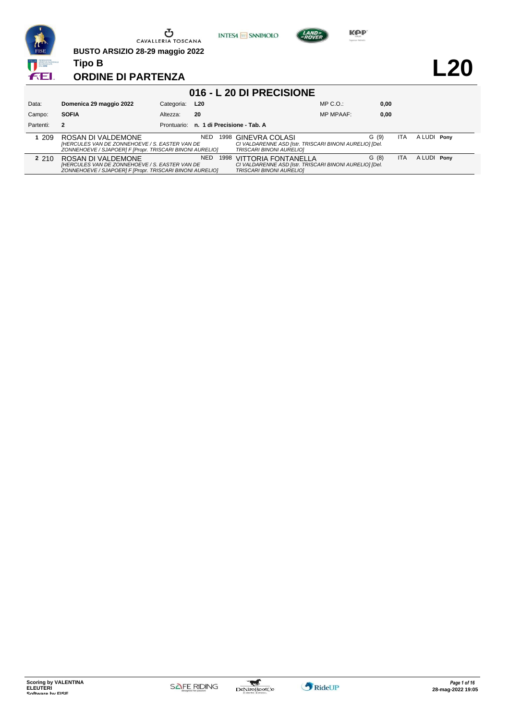

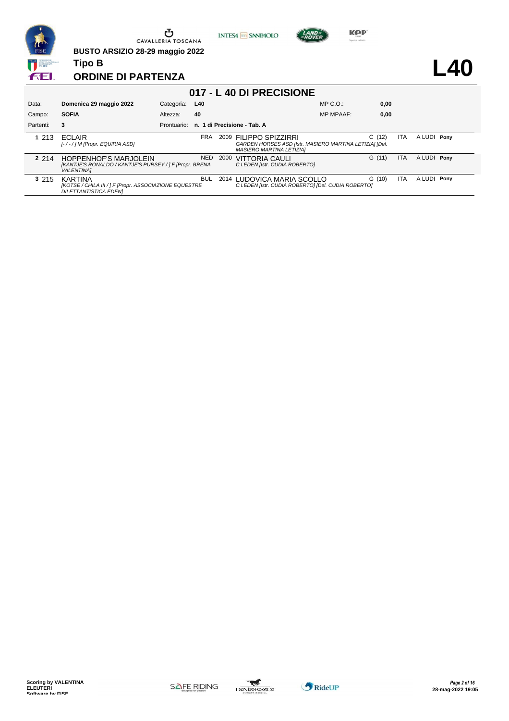

**INTESA M** SANPAOLO



**KOP** 

**L40**

#### **ORDINE DI PARTENZA**

| 017 - L 40 DI PRECISIONE |                                                                                                              |             |            |      |                                                                                                                 |                  |       |            |             |  |
|--------------------------|--------------------------------------------------------------------------------------------------------------|-------------|------------|------|-----------------------------------------------------------------------------------------------------------------|------------------|-------|------------|-------------|--|
| Data:                    | Domenica 29 maggio 2022                                                                                      | Categoria:  | L40        |      |                                                                                                                 | $MP C. O.$ :     | 0,00  |            |             |  |
| Campo:                   | <b>SOFIA</b>                                                                                                 | Altezza:    | 40         |      |                                                                                                                 | <b>MP MPAAF:</b> | 0,00  |            |             |  |
| Partenti:                | 3                                                                                                            | Prontuario: |            |      | n. 1 di Precisione - Tab. A                                                                                     |                  |       |            |             |  |
| 1.213                    | <b>FCI AIR</b><br>[-/-/] M [Propr. EQUIRIA ASD]                                                              |             | <b>FRA</b> | 2009 | FILIPPO SPIZZIRRI<br>GARDEN HORSES ASD [Istr. MASIERO MARTINA LETIZIA] [Del.<br><b>MASIERO MARTINA LETIZIAI</b> |                  | C(12) | ITA        | A LUDI Pony |  |
| 2 2 1 4                  | <b>HOPPENHOF'S MARJOLEIN</b><br>[KANTJE'S RONALDO / KANTJE'S PURSEY / ] F [Propr. BRENA<br><b>VALENTINA1</b> |             | <b>NED</b> | 2000 | <b>VITTORIA CAULI</b><br>C.I.EDEN [Istr. CUDIA ROBERTO]                                                         |                  | G(11) | <b>ITA</b> | A LUDI Pony |  |
| 3 2 1 5                  | <b>KARTINA</b><br>[KOTSE / CHILA III / ] F [Propr. ASSOCIAZIONE EQUESTRE<br><b>DILETTANTISTICA EDENI</b>     |             | <b>BUL</b> |      | 2014 LUDOVICA MARIA SCOLLO<br>C.I.EDEN [Istr. CUDIA ROBERTO] [Del. CUDIA ROBERTO]                               |                  | G(10) | <b>ITA</b> | A LUDI Pony |  |

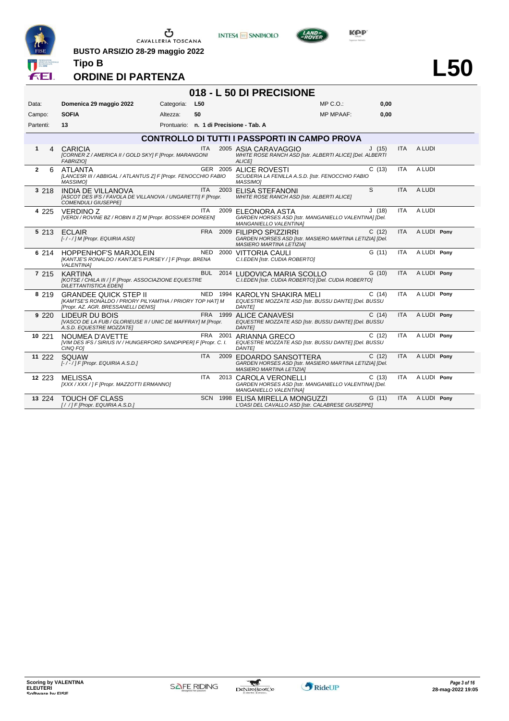

**BUSTO ARSIZIO 28-29 maggio 2022**





## **ORDINE DI PARTENZA**

**Tipo B**

#### **018 - L 50 DI PRECISIONE**

| Data:             | Domenica 29 maggio 2022                                                                                                         | Categoria: | L50        |          |                                                                                                                       | $MP C. O.$ :     | 0,00  |            |             |  |
|-------------------|---------------------------------------------------------------------------------------------------------------------------------|------------|------------|----------|-----------------------------------------------------------------------------------------------------------------------|------------------|-------|------------|-------------|--|
| Campo:            | <b>SOFIA</b>                                                                                                                    | Altezza:   | 50         |          |                                                                                                                       | <b>MP MPAAF:</b> | 0,00  |            |             |  |
| Partenti:         | 13                                                                                                                              |            |            |          | Prontuario: n. 1 di Precisione - Tab. A                                                                               |                  |       |            |             |  |
|                   |                                                                                                                                 |            |            |          | <b>CONTROLLO DI TUTTI I PASSPORTI IN CAMPO PROVA</b>                                                                  |                  |       |            |             |  |
| 1<br>4            | CARICIA<br>[CORNER Z / AMERICA II / GOLD SKY] F [Propr. MARANGONI<br><b>FABRIZIOI</b>                                           |            | <b>ITA</b> |          | 2005 ASIA CARAVAGGIO<br>WHITE ROSE RANCH ASD [Istr. ALBERTI ALICE] [Del. ALBERTI<br><b>ALICEI</b>                     |                  | J(15) | <b>ITA</b> | A LUDI      |  |
| $\mathbf{2}$<br>6 | <b>ATLANTA</b><br>[LANCE5R III / ABBIGAL / ATLANTUS Z] F [Propr. FENOCCHIO FABIO<br><b>MASSIMOI</b>                             |            |            |          | GER 2005 ALICE ROVESTI<br>SCUDERIA LA FENILLA A.S.D. [Istr. FENOCCHIO FABIO<br><b>MASSIMO1</b>                        |                  | C(13) | ITA.       | A LUDI      |  |
| 3 218             | <b>INDIA DE VILLANOVA</b><br>[ASCOT DES IFS / FAVOLA DE VILLANOVA / UNGARETTI] F [Propr.<br><b>COMENDULI GIUSEPPEI</b>          |            | <b>ITA</b> |          | 2003 ELISA STEFANONI<br>WHITE ROSE RANCH ASD [Istr. ALBERTI ALICE]                                                    |                  | S     | <b>ITA</b> | A LUDI      |  |
| 4 2 2 5           | <b>VERDINO Z</b><br>[VERDI / ROVINE BZ / ROBIN II Z] M [Propr. BOSSHER DOREEN]                                                  |            | <b>ITA</b> |          | 2009 ELEONORA ASTA<br>GARDEN HORSES ASD [Istr. MANGANIELLO VALENTINA] [Del.<br>MANGANIELLO VALENTINA]                 |                  | J(18) | <b>ITA</b> | A LUDI      |  |
| 5 2 1 3           | <b>ECLAIR</b><br>[-/-/] M [Propr. EQUIRIA ASD]                                                                                  |            |            |          | FRA 2009 FILIPPO SPIZZIRRI<br>GARDEN HORSES ASD [Istr. MASIERO MARTINA LETIZIA] [Del.<br>MASIERO MARTINA LETIZIA]     |                  | C(12) | <b>ITA</b> | A LUDI Pony |  |
| 6 214             | <b>HOPPENHOF'S MARJOLEIN</b><br>[KANTJE'S RONALDO / KANTJE'S PURSEY / ] F [Propr. BRENA<br><b>VALENTINA1</b>                    |            |            |          | NED 2000 VITTORIA CAULI<br>C.I.EDEN [Istr. CUDIA ROBERTO]                                                             |                  | G(11) | <b>ITA</b> | A LUDI Pony |  |
| 7 215             | <b>KARTINA</b><br>[KOTSE / CHILA III / ] F [Propr. ASSOCIAZIONE EQUESTRE<br><b>DILETTANTISTICA EDENI</b>                        |            |            |          | BUL 2014 LUDOVICA MARIA SCOLLO<br>C.I.EDEN [Istr. CUDIA ROBERTO] [Del. CUDIA ROBERTO]                                 |                  | G(10) | <b>ITA</b> | A LUDI Pony |  |
| 8 2 1 9           | <b>GRANDEE QUICK STEP II</b><br>[KAMTSE'S RONALDO / PRIORY PILYAMTHA / PRIORY TOP HAT] M<br>[Propr. AZ. AGR. BRESSANELLI DENIS] |            |            |          | NED 1994 KAROLYN SHAKIRA MELI<br>EQUESTRE MOZZATE ASD [Istr. BUSSU DANTE] [Del. BUSSU<br><b>DANTEI</b>                |                  | C(14) | <b>ITA</b> | A LUDI Pony |  |
| 9220              | LIDEUR DU BOIS<br>[VASCO DE LA FUB / GLORIEUSE II / UNIC DE MAFFRAY] M [Propr.<br>A.S.D. EQUESTRE MOZZATE]                      |            |            |          | FRA 1999 ALICE CANAVESI<br>EQUESTRE MOZZATE ASD [Istr. BUSSU DANTE] [Del. BUSSU<br><b>DANTEI</b>                      |                  | C(14) | <b>ITA</b> | A LUDI Pony |  |
| 10 221            | NOUMEA D'AVETTE<br>[VIM DES IFS / SIRIUS IV / HUNGERFORD SANDPIPER] F [Propr. C. I.<br>CINQ FOI                                 |            |            | FRA 2001 | ARIANNA GRECO<br>EQUESTRE MOZZATE ASD [Istr. BUSSU DANTE] [Del. BUSSU<br><b>DANTEI</b>                                |                  | C(12) | <b>ITA</b> | A LUDI Pony |  |
| 11 222            | SQUAW<br>$[-/$ - $/$ ] F [Propr. EQUIRIA A.S.D.]                                                                                |            | <b>ITA</b> |          | 2009 EDOARDO SANSOTTERA<br>GARDEN HORSES ASD [Istr. MASIERO MARTINA LETIZIA] [Del.<br><b>MASIERO MARTINA LETIZIA]</b> |                  | C(12) | <b>ITA</b> | A LUDI Pony |  |
| 12 2 2 3          | <b>MELISSA</b><br>[XXX / XXX / ] F [Propr. MAZZOTTI ERMANNO]                                                                    |            | ITA        |          | 2013 CAROLA VERONELLI<br>GARDEN HORSES ASD [Istr. MANGANIELLO VALENTINA] [Del.<br>MANGANIELLO VALENTINA]              |                  | C(13) | ITA.       | A LUDI Pony |  |
| 13 2 2 4          | <b>TOUCH OF CLASS</b><br>[//] F [Propr. EQUIRIA A.S.D.]                                                                         |            |            |          | SCN 1998 ELISA MIRELLA MONGUZZI<br>L'OASI DEL CAVALLO ASD [Istr. CALABRESE GIUSEPPE]                                  |                  | G(11) | <b>ITA</b> | A LUDI Pony |  |

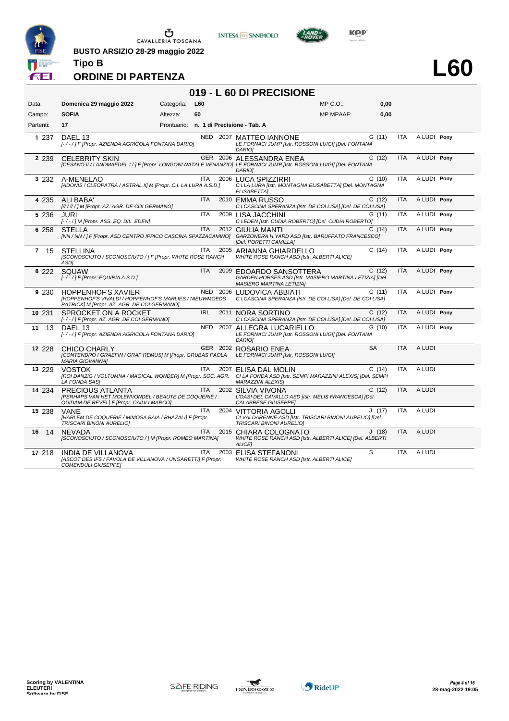

**INTESA M** SANPAOLO



**L60**

#### **ORDINE DI PARTENZA**

**Tipo B**

**BUSTO ARSIZIO 28-29 maggio 2022**

#### **019 - L 60 DI PRECISIONE**

| Data:     | Domenica 29 maggio 2022                                                                                                                                   | Categoria: | L60        |      |                                                                                                                                                                   | $MP C. O.$ :     | 0,00      |            |             |  |
|-----------|-----------------------------------------------------------------------------------------------------------------------------------------------------------|------------|------------|------|-------------------------------------------------------------------------------------------------------------------------------------------------------------------|------------------|-----------|------------|-------------|--|
| Campo:    | <b>SOFIA</b>                                                                                                                                              | Altezza:   | 60         |      |                                                                                                                                                                   | <b>MP MPAAF:</b> | 0,00      |            |             |  |
| Partenti: | 17                                                                                                                                                        |            |            |      | Prontuario: n. 1 di Precisione - Tab. A                                                                                                                           |                  |           |            |             |  |
| 1 237     | DAEL 13<br>[-/-/] F [Propr. AZIENDA AGRICOLA FONTANA DARIO]                                                                                               |            |            |      | NED 2007 MATTEO IANNONE<br>LE FORNACI JUMP [Istr. ROSSONI LUIGI] [Del. FONTANA<br><b>DARIOI</b>                                                                   |                  | G(11)     | <b>ITA</b> | A LUDI Pony |  |
| 2 2 3 9   | <b>CELEBRITY SKIN</b>                                                                                                                                     |            |            |      | GER 2006 ALESSANDRA ENEA<br>[CESANO II / LANDMAEDEL I / ] F [Propr. LONGONI NATALE VENANZIO] LE FORNACI JUMP [Istr. ROSSONI LUIGI] [Del. FONTANA<br><b>DARIOI</b> |                  | C(12)     | <b>ITA</b> | A LUDI Pony |  |
| 3 232     | A-MENELAO<br>[ADONIS / CLEOPATRA / ASTRAL II] M [Propr. C.I. LA LURA A.S.D.]                                                                              |            | <b>ITA</b> |      | 2006 LUCA SPIZZIRRI<br>C.I.LA LURA [Istr. MONTAGNA ELISABETTA] [Del. MONTAGNA<br><b>ELISABETTA1</b>                                                               |                  | G(10)     | <b>ITA</b> | A LUDI Pony |  |
| 4 235     | ALI BABA'<br>[//////] M [Propr. AZ. AGR. DE COI GERMANO]                                                                                                  |            | <b>ITA</b> |      | 2010 EMMA RUSSO<br>C.I.CASCINA SPERANZA [Istr. DE COI LISA] [Del. DE COI LISA]                                                                                    |                  | C(12)     | <b>ITA</b> | A LUDI Pony |  |
| 5 2 3 6   | JURI<br>[-/-/] M [Propr. ASS. EQ. DIL. EDEN]                                                                                                              |            | <b>ITA</b> |      | 2009 LISA JACCHINI<br>C.I.EDEN [Istr. CUDIA ROBERTO] [Del. CUDIA ROBERTO]                                                                                         |                  | G (11)    | <b>ITA</b> | A LUDI Pony |  |
| 6 258     | <b>STELLA</b><br>[NN / NN / ] F [Propr. ASD CENTRO IPPICO CASCINA SPAZZACAMINO] GARZONERA H.YARD ASD [Istr. BARUFFATO FRANCESCO]                          |            | <b>ITA</b> |      | 2012 GIULIA MANTI<br>[Del. PORETTI CAMILLA]                                                                                                                       |                  | C(14)     | <b>ITA</b> | A LUDI Pony |  |
| 7 15      | <b>STELLINA</b><br>[SCONOSCIUTO / SCONOSCIUTO / ] F [Propr. WHITE ROSE RANCH<br>ASD1                                                                      |            | <b>ITA</b> |      | 2005 ARIANNA GHIARDELLO<br>WHITE ROSE RANCH ASD [Istr. ALBERTI ALICE]                                                                                             |                  | C(14)     | <b>ITA</b> | A LUDI Pony |  |
| 8 222     | SQUAW<br>$[-/$ -/] F [Propr. EQUIRIA A.S.D.]                                                                                                              |            | <b>ITA</b> |      | 2009 EDOARDO SANSOTTERA<br>GARDEN HORSES ASD [Istr. MASIERO MARTINA LETIZIA] [Del.<br><b>MASIERO MARTINA LETIZIA]</b>                                             |                  | C(12)     | <b>ITA</b> | A LUDI Pony |  |
| 9 230     | <b>HOPPENHOF'S XAVIER</b><br><b>IHOPPENHOF'S VIVALDI / HOPPENHOF'S MARLIES / NIEUWMOEDS</b><br>PATRICK] M [Propr. AZ. AGR. DE COI GERMANO]                |            |            |      | NED 2006 LUDOVICA ABBIATI<br>C.I.CASCINA SPERANZA [Istr. DE COI LISA] [Del. DE COI LISA]                                                                          |                  | G(11)     | <b>ITA</b> | A LUDI Pony |  |
| 10 231    | SPROCKET ON A ROCKET<br>[-/-/] F [Propr. AZ. AGR. DE COI GERMANO]                                                                                         |            | <b>IRL</b> |      | 2011 NORA SORTINO<br>C.I.CASCINA SPERANZA [Istr. DE COI LISA] [Del. DE COI LISA]                                                                                  |                  | C(12)     | <b>ITA</b> | A LUDI Pony |  |
| 13<br>11  | DAEL 13<br>[-/-/] F [Propr. AZIENDA AGRICOLA FONTANA DARIO]                                                                                               |            | NED        |      | 2007 ALLEGRA LUCARIELLO<br>LE FORNACI JUMP [Istr. ROSSONI LUIGI] [Del. FONTANA<br><b>DARIOI</b>                                                                   |                  | G(10)     | <b>ITA</b> | A LUDI Pony |  |
| 12 228    | CHICO CHARLY<br>[CONTENDRO / GRAEFIN / GRAF REMUS] M [Propr. GRUBAS PAOLA LE FORNACI JUMP [Istr. ROSSONI LUIGI]<br><b>MARIA GIOVANNAI</b>                 |            |            |      | GER 2002 ROSARIO ENEA                                                                                                                                             |                  | <b>SA</b> | <b>ITA</b> | A LUDI      |  |
| 13 229    | <b>VOSTOK</b><br>[ROI DANZIG / VOLTUMNA / MAGICAL WONDER] M [Propr. SOC. AGR. CI LA FONDA ASD [Istr. SEMPI MARAZZINI ALEXIS] [Del. SEMPI<br>LA FONDA SASI |            | ITA        |      | 2007 ELISA DAL MOLIN<br>MARAZZINI ALEXIS]                                                                                                                         |                  | C(14)     | <b>ITA</b> | A LUDI      |  |
| 14 234    | PRECIOUS ATLANTA<br>[PERHAPS VAN HET MOLENVONDEL / BEAUTE DE COQUERIE /<br>QUIDAM DE REVEL] F [Propr. CAIULI MARCO]                                       |            | <b>ITA</b> |      | 2002 SILVIA VIVONA<br>L'OASI DEL CAVALLO ASD [Istr. MELIS FRANCESCA] [Del.<br><b>CALABRESE GIUSEPPEI</b>                                                          |                  | C(12)     | <b>ITA</b> | A LUDI      |  |
| 15 238    | <b>VANF</b><br>[HARLEM DE COQUERIE / MIMOSA BAIA / RHAZALI] F [Propr.<br>TRISCARI BINONI AURELIO]                                                         |            | <b>ITA</b> |      | 2004 VITTORIA AGOLLI<br>CI VALDARENNE ASD [Istr. TRISCARI BINONI AURELIO] [Del.<br><b>TRISCARI BINONI AURELIOI</b>                                                |                  | J(17)     | <b>ITA</b> | A LUDI      |  |
| 16<br>14  | <b>NFVADA</b><br>[SCONOSCIUTO / SCONOSCIUTO / ] M [Propr. ROMEO MARTINA]                                                                                  |            | <b>ITA</b> | 2015 | CHIARA COLOGNATO<br>WHITE ROSE RANCH ASD [Istr. ALBERTI ALICE] [Del. ALBERTI<br><b>ALICEI</b>                                                                     |                  | J(18)     | <b>ITA</b> | A LUDI      |  |
| 17 218    | <b>INDIA DE VILLANOVA</b><br>[ASCOT DES IFS / FAVOLA DE VILLANOVA / UNGARETTI] F [Propr.<br><b>COMENDULI GIUSEPPE]</b>                                    |            | <b>ITA</b> | 2003 | ELISA STEFANONI<br>WHITE ROSE RANCH ASD [Istr. ALBERTI ALICE]                                                                                                     |                  | S         | <b>ITA</b> | A LUDI      |  |

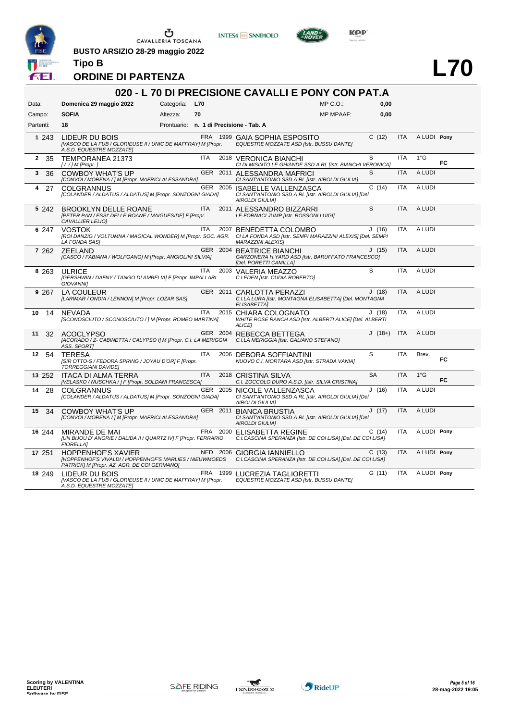

**BUSTO ARSIZIO 28-29 maggio 2022 Tipo B**







**L70**

#### **ORDINE DI PARTENZA**

|           |                                                                                                                                                           |                |            |          | 020 - L 70 DI PRECISIONE CAVALLI E PONY CON PAT.A                                                              |                  |           |            |               |           |
|-----------|-----------------------------------------------------------------------------------------------------------------------------------------------------------|----------------|------------|----------|----------------------------------------------------------------------------------------------------------------|------------------|-----------|------------|---------------|-----------|
| Data:     | Domenica 29 maggio 2022                                                                                                                                   | Categoria: L70 |            |          |                                                                                                                | $MP C. O.$ :     | 0,00      |            |               |           |
| Campo:    | <b>SOFIA</b>                                                                                                                                              | Altezza:       | 70         |          |                                                                                                                | <b>MP MPAAF:</b> | 0,00      |            |               |           |
| Partenti: | 18                                                                                                                                                        |                |            |          | Prontuario: n. 1 di Precisione - Tab. A                                                                        |                  |           |            |               |           |
| 1 243     | LIDEUR DU BOIS<br>[VASCO DE LA FUB / GLORIEUSE II / UNIC DE MAFFRAY] M [Propr.<br>A.S.D. EQUESTRE MOZZATE]                                                |                |            |          | FRA 1999 GAIA SOPHIA ESPOSITO<br>EQUESTRE MOZZATE ASD [Istr. BUSSU DANTE]                                      |                  | C(12)     | <b>ITA</b> | A LUDI Pony   |           |
| 2<br>35   | TEMPORANEA 21373<br>$[!/]/M$ [Propr.]                                                                                                                     |                | <b>ITA</b> |          | 2018 VERONICA BIANCHI<br>CI DI MISINTO LE GHIANDE SSD A RL [Istr. BIANCHI VERONICA]                            |                  | S         | <b>ITA</b> | 1°G           | <b>FC</b> |
| 3<br>36   | <b>COWBOY WHAT'S UP</b><br>[CONVOI / MORENA / ] M [Propr. MAFRICI ALESSANDRA]                                                                             |                |            |          | GER 2011 ALESSANDRA MAFRICI<br>CI SANT'ANTONIO SSD A RL [Istr. AIROLDI GIULIA]                                 |                  | S         | <b>ITA</b> | A LUDI        |           |
| 4<br>27   | <b>COLGRANNUS</b><br>[COLANDER / ALDATUS / ALDATUS] M [Propr. SONZOGNI GIADA]                                                                             |                |            | GER 2005 | <b>ISABELLE VALLENZASCA</b><br>CI SANT'ANTONIO SSD A RL [Istr. AIROLDI GIULIA] [Del.<br><b>AIROLDI GIULIA]</b> |                  | C(14)     | <b>ITA</b> | A LUDI        |           |
| 5 242     | <b>BROOKLYN DELLE ROANE</b><br>[PETER PAN / ESSI' DELLE ROANE / MAIGUESIDE] F [Propr.<br>CAVALLIER LELIO]                                                 |                | <b>ITA</b> |          | 2011 ALESSANDRO BIZZARRI<br>LE FORNACI JUMP [Istr. ROSSONI LUIGI]                                              |                  | S         | <b>ITA</b> | A LUDI        |           |
| 6 247     | <b>VOSTOK</b><br>[ROI DANZIG / VOLTUMNA / MAGICAL WONDER] M [Propr. SOC. AGR. CI LA FONDA ASD [Istr. SEMPI MARAZZINI ALEXIS] [Del. SEMPI<br>LA FONDA SAS] |                | <b>ITA</b> |          | 2007 BENEDETTA COLOMBO<br><b>MARAZZINI ALEXISI</b>                                                             |                  | J(16)     | <b>ITA</b> | A LUDI        |           |
| 7 262     | ZEELAND<br>[CASCO / FABIANA / WOLFGANG] M [Propr. ANGIOLINI SILVIA]                                                                                       |                |            |          | GER 2004 BEATRICE BIANCHI<br>GARZONERA H. YARD ASD [Istr. BARUFFATO FRANCESCO]<br>[Del. PORETTI CAMILLA]       |                  | J(15)     | <b>ITA</b> | A LUDI        |           |
| 8 2 6 3   | <b>ULRICE</b><br>[GERSHWIN / DAFNY / TANGO DI AMBELIA] F [Propr. IMPALLARI<br><b>GIOVANNII</b>                                                            |                | <b>ITA</b> | 2003     | VALERIA MEAZZO<br>C.I.EDEN [Istr. CUDIA ROBERTO]                                                               |                  | S         | <b>ITA</b> | A LUDI        |           |
| 9 2 6 7   | <b>LA COULEUR</b><br>[LARIMAR / ONDIA / LENNON] M [Propr. LOZAR SAS]                                                                                      |                |            |          | GER 2011 CARLOTTA PERAZZI<br>C.I.LA LURA [Istr. MONTAGNA ELISABETTA] [Del. MONTAGNA<br>ELISABETTA]             |                  | J(18)     | <b>ITA</b> | A LUDI        |           |
| 10<br>14  | <b>NEVADA</b><br>[SCONOSCIUTO / SCONOSCIUTO / ] M [Propr. ROMEO MARTINA]                                                                                  |                | <b>ITA</b> |          | 2015 CHIARA COLOGNATO<br>WHITE ROSE RANCH ASD [Istr. ALBERTI ALICE] [Del. ALBERTI<br><b>ALICEI</b>             |                  | J(18)     | <b>ITA</b> | A LUDI        |           |
| 11<br>32  | <b>ACOCLYPSO</b><br>[ACORADO / Z- CABINETTA / CALYPSO I] M [Propr. C.I. LA MERIGGIA<br><b>ASS. SPORTI</b>                                                 |                |            | GER 2004 | REBECCA BETTEGA<br>C.I.LA MERIGGIA [Istr. GALIANO STEFANO]                                                     |                  | $J(18+)$  | <b>ITA</b> | A LUDI        |           |
| 54<br>12  | <b>TERESA</b><br>[SIR OTTO-S / FEDORA SPRING / JOYAU D'OR] F [Propr.<br>TORREGGIANI DAVIDEI                                                               |                | <b>ITA</b> |          | 2006 DEBORA SOFFIANTINI<br>NUOVO C.I. MORTARA ASD [Istr. STRADA VANIA]                                         |                  | S         | <b>ITA</b> | Brev.         | <b>FC</b> |
| 13 252    | ITACA DI ALMA TERRA<br>[VELASKO / NUSCHKA / ] F [Propr. SOLDANI FRANCESCA]                                                                                |                | <b>ITA</b> |          | 2018 CRISTINA SILVA<br>C.I. ZOCCOLO DURO A.S.D. [Istr. SILVA CRISTINA]                                         |                  | <b>SA</b> | <b>ITA</b> | $1^{\circ}$ G | FC        |
| 14<br>28  | <b>COLGRANNUS</b><br>[COLANDER / ALDATUS / ALDATUS] M [Propr. SONZOGNI GIADA]                                                                             |                |            | GER 2005 | NICOLE VALLENZASCA<br>CI SANT'ANTONIO SSD A RL [Istr. AIROLDI GIULIA] [Del.<br><b>AIROLDI GIULIAI</b>          |                  | J(16)     | ITA        | A LUDI        |           |
| 15<br>34  | <b>COWBOY WHAT'S UP</b><br>[CONVOI / MORENA / ] M [Propr. MAFRICI ALESSANDRA]                                                                             |                |            |          | GER 2011 BIANCA BRUSTIA<br>CI SANT'ANTONIO SSD A RL [Istr. AIROLDI GIULIA] [Del.<br><b>AIROLDI GIULIAI</b>     |                  | J(17)     | <b>ITA</b> | A LUDI        |           |
| 16 244    | MIRANDE DE MAI<br>[UN BIJOU D' ANGRIE / DALIDA II / QUARTZ IV] F [Propr. FERRARIO<br><b>FIORELLA1</b>                                                     |                |            |          | FRA 2000 ELISABETTA REGINE<br>C.I.CASCINA SPERANZA [Istr. DE COI LISA] [Del. DE COI LISA]                      |                  | C(14)     | <b>ITA</b> | A LUDI Pony   |           |
| 17 251    | <b>HOPPENHOF'S XAVIER</b><br><b>IHOPPENHOF'S VIVALDI / HOPPENHOF'S MARLIES / NIEUWMOEDS</b><br>PATRICK] M [Propr. AZ. AGR. DE COI GERMANO]                |                |            | NED 2006 | <b>GIORGIA IANNIELLO</b><br>C.I.CASCINA SPERANZA [Istr. DE COI LISA] [Del. DE COI LISA]                        |                  | C(13)     | <b>ITA</b> | A LUDI Pony   |           |
| 18 249    | LIDEUR DU BOIS<br>[VASCO DE LA FUB / GLORIEUSE II / UNIC DE MAFFRAY] M [Propr.<br>A.S.D. EQUESTRE MOZZATEJ                                                |                |            | FRA 1999 | LUCREZIA TAGLIORETTI<br>EQUESTRE MOZZATE ASD [Istr. BUSSU DANTE]                                               |                  | G(11)     | <b>ITA</b> | A LUDI Pony   |           |



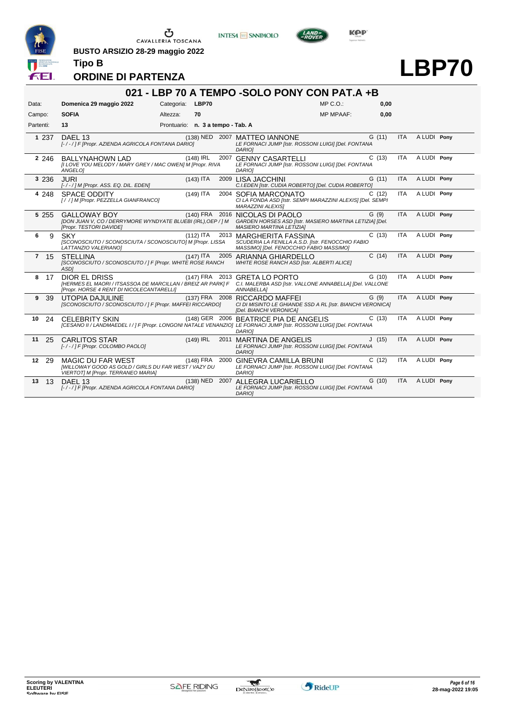

**BUSTO ARSIZIO 28-29 maggio 2022**







# **LBP70**

**ORDINE DI PARTENZA**

|            |                                                                                                                                                                                    |                                   |                |      | 021 - LBP 70 A TEMPO - SOLO PONY CON PAT.A + B                                                                                |                  |       |            |             |  |
|------------|------------------------------------------------------------------------------------------------------------------------------------------------------------------------------------|-----------------------------------|----------------|------|-------------------------------------------------------------------------------------------------------------------------------|------------------|-------|------------|-------------|--|
| Data:      | Domenica 29 maggio 2022                                                                                                                                                            | Categoria: LBP70                  |                |      |                                                                                                                               | MP C.O.          | 0,00  |            |             |  |
| Campo:     | <b>SOFIA</b>                                                                                                                                                                       | Altezza:                          | 70             |      |                                                                                                                               | <b>MP MPAAF:</b> | 0,00  |            |             |  |
| Partenti:  | 13                                                                                                                                                                                 | Prontuario: n. 3 a tempo - Tab. A |                |      |                                                                                                                               |                  |       |            |             |  |
| 1 2 3 7    | DAEL 13<br>[-/-/] F [Propr. AZIENDA AGRICOLA FONTANA DARIO]                                                                                                                        |                                   | (138) NED 2007 |      | <b>MATTEO IANNONE</b><br>LE FORNACI JUMP [Istr. ROSSONI LUIGI] [Del. FONTANA<br><b>DARIOI</b>                                 |                  | G(11) | <b>ITA</b> | A LUDI Pony |  |
| 2 2 4 6    | <b>BALLYNAHOWN LAD</b><br>[I LOVE YOU MELODY / MARY GREY / MAC OWEN] M [Propr. RIVA<br><b>ANGELOI</b>                                                                              |                                   | $(148)$ IRL    | 2007 | <b>GENNY CASARTELLI</b><br>LE FORNACI JUMP [Istr. ROSSONI LUIGI] [Del. FONTANA<br><b>DARIOI</b>                               |                  | C(13) | <b>ITA</b> | A LUDI Pony |  |
| 3 2 3 6    | <b>JURI</b><br>[-/-/] M [Propr. ASS. EQ. DIL. EDEN]                                                                                                                                |                                   | $(143)$ ITA    |      | 2009 LISA JACCHINI<br>C.I.EDEN [Istr. CUDIA ROBERTO] [Del. CUDIA ROBERTO]                                                     |                  | G(11) | <b>ITA</b> | A LUDI Pony |  |
| 4 2 4 8    | <b>SPACE ODDITY</b><br>[/ /] M [Propr. PEZZELLA GIANFRANCO]                                                                                                                        |                                   | $(149)$ ITA    |      | 2004 SOFIA MARCONATO<br>CI LA FONDA ASD [Istr. SEMPI MARAZZINI ALEXIS] [Del. SEMPI<br><b>MARAZZINI ALEXISI</b>                |                  | C(12) | <b>ITA</b> | A LUDI Pony |  |
| 5 2 5 5    | <b>GALLOWAY BOY</b><br>[DON JUAN V, CO / DERRYMORE WYNDYATE BLUEBI (IRL), OEP / ] M<br>[Propr. TESTORI DAVIDE]                                                                     |                                   |                |      | (140) FRA 2016 NICOLAS DI PAOLO<br>GARDEN HORSES ASD [Istr. MASIERO MARTINA LETIZIA] [Del.<br><b>MASIERO MARTINA LETIZIA]</b> |                  | G(9)  | <b>ITA</b> | A LUDI Pony |  |
| 6<br>9     | <b>SKY</b><br>[SCONOSCIUTO / SCONOSCIUTA / SCONOSCIUTO] M [Propr. LISSA<br>LATTANZIO VALERIANOJ                                                                                    |                                   | $(112)$ ITA    |      | 2013 MARGHERITA FASSINA<br>SCUDERIA LA FENILLA A.S.D. [Istr. FENOCCHIO FABIO<br>MASSIMOI [Del. FENOCCHIO FABIO MASSIMO]       |                  | C(13) | <b>ITA</b> | A LUDI Pony |  |
| 7 15       | <b>STELLINA</b><br>[SCONOSCIUTO / SCONOSCIUTO / ] F [Propr. WHITE ROSE RANCH<br><b>ASDI</b>                                                                                        |                                   | $(147)$ ITA    |      | 2005 ARIANNA GHIARDELLO<br>WHITE ROSE RANCH ASD [Istr. ALBERTI ALICE]                                                         |                  | C(14) | <b>ITA</b> | A LUDI Pony |  |
| 8 17       | DIOR EL DRISS<br>[HERMES EL MAORI / ITSASSOA DE MARCILLAN / BREIZ AR PARK] F C.I. MALERBA ASD [Istr. VALLONE ANNABELLA] [Del. VALLONE<br>[Propr. HORSE 4 RENT DI NICOLECANTARELLI] |                                   |                |      | (147) FRA 2013 GRETA LO PORTO<br>ANNABELLA]                                                                                   |                  | G(10) | <b>ITA</b> | A LUDI Pony |  |
| 9<br>39    | <b>UTOPIA DAJULINE</b><br>[SCONOSCIUTO / SCONOSCIUTO / ] F [Propr. MAFFEI RICCARDO]                                                                                                |                                   |                |      | (137) FRA 2008 RICCARDO MAFFEI<br>CI DI MISINTO LE GHIANDE SSD A RL [Istr. BIANCHI VERONICA]<br>[Del. BIANCHI VERONICA]       |                  | G(9)  | <b>ITA</b> | A LUDI Pony |  |
| 10<br>24   | <b>CELEBRITY SKIN</b><br>[CESANO II / LANDMAEDEL I / ] F [Propr. LONGONI NATALE VENANZIO] LE FORNACI JUMP [Istr. ROSSONI LUIGI] [Del. FONTANA                                      |                                   |                |      | (148) GER 2006 BEATRICE PIA DE ANGELIS<br><b>DARIOI</b>                                                                       |                  | C(13) | <b>ITA</b> | A LUDI Pony |  |
| 11<br>25   | <b>CARLITOS STAR</b><br>[-/-/] F [Propr. COLOMBO PAOLO]                                                                                                                            |                                   | $(149)$ IRL    | 2011 | <b>MARTINA DE ANGELIS</b><br>LE FORNACI JUMP [Istr. ROSSONI LUIGI] [Del. FONTANA<br>DARIO]                                    |                  | J(15) | <b>ITA</b> | A LUDI Pony |  |
| 12 29      | <b>MAGIC DU FAR WEST</b><br>[WILLOWAY GOOD AS GOLD / GIRLS DU FAR WEST / VAZY DU<br>VIERTOTI M [Propr. TERRANEO MARIA]                                                             |                                   | (148) FRA 2000 |      | <b>GINEVRA CAMILLA BRUNI</b><br>LE FORNACI JUMP [Istr. ROSSONI LUIGI] [Del. FONTANA<br><b>DARIOI</b>                          |                  | C(12) | <b>ITA</b> | A LUDI Pony |  |
| 13<br>- 13 | <b>DAFI 13</b><br>[-/-/] F [Propr. AZIENDA AGRICOLA FONTANA DARIO]                                                                                                                 |                                   | (138) NED 2007 |      | ALLEGRA LUCARIELLO<br>LE FORNACI JUMP [Istr. ROSSONI LUIGI] [Del. FONTANA<br>DARIO]                                           |                  | G(10) | <b>ITA</b> | A LUDI Pony |  |



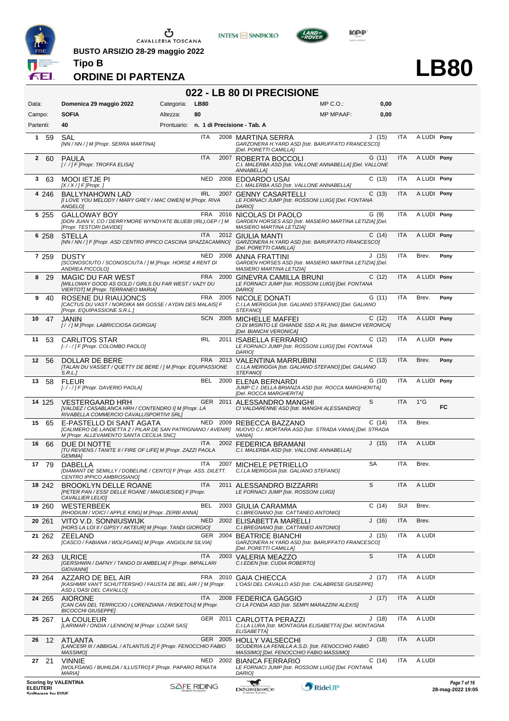

**BUSTO ARSIZIO 28-29 maggio 2022 Tipo B**





LAND-<br>EPOVER

**LB80**

**ORDINE DI PARTENZA**

#### **022 - LB 80 DI PRECISIONE**

| Data:                                                              | Domenica 29 maggio 2022                                                                                                    | Categoria: | <b>LB80</b>        |          | $MP C. O.$ :                                                                                                                                                      | 0,00  |            |               |                                   |
|--------------------------------------------------------------------|----------------------------------------------------------------------------------------------------------------------------|------------|--------------------|----------|-------------------------------------------------------------------------------------------------------------------------------------------------------------------|-------|------------|---------------|-----------------------------------|
| Campo:<br>Partenti:                                                | <b>SOFIA</b><br>40                                                                                                         | Altezza:   | 80                 |          | <b>MP MPAAF:</b><br>Prontuario: n. 1 di Precisione - Tab. A                                                                                                       | 0,00  |            |               |                                   |
| 1 59                                                               | SAL<br>[NN / NN / ] M [Propr. SERRA MARTINA]                                                                               |            | ITA                |          | 2008 MARTINA SERRA<br>GARZONERA H. YARD ASD [Istr. BARUFFATO FRANCESCO]                                                                                           | J(15) | <b>ITA</b> | A LUDI Pony   |                                   |
| 260                                                                | PAULA<br>[/ /] F [Propr. TROFFA ELISA]                                                                                     |            | <b>ITA</b>         |          | [Del. PORETTI CAMILLA]<br>2007 ROBERTA BOCCOLI<br>C.I. MALERBA ASD [Istr. VALLONE ANNABELLA] [Del. VALLONE<br>ANNABELLA]                                          | G(11) | <b>ITA</b> | A LUDI Pony   |                                   |
| 3 63                                                               | <b>MOOI IETJE PI</b><br>$[X/X]/F$ [Propr.]                                                                                 |            |                    |          | NED 2008 EDOARDO USAI<br>C.I. MALERBA ASD [Istr. VALLONE ANNABELLA]                                                                                               | C(13) | ITA        | A LUDI Pony   |                                   |
| 4 246                                                              | <b>BALLYNAHOWN LAD</b><br>[I LOVE YOU MELODY / MARY GREY / MAC OWEN] M [Propr. RIVA<br>ANGELO]                             |            | <b>IRL</b>         |          | 2007 GENNY CASARTELLI<br>LE FORNACI JUMP [Istr. ROSSONI LUIGI] [Del. FONTANA<br><b>DARIOI</b>                                                                     | C(13) | <b>ITA</b> | A LUDI Pony   |                                   |
| 5 2 5 5                                                            | GALLOWAY BOY<br>[DON JUAN V, CO / DERRYMORE WYNDYATE BLUEBI (IRL), OEP / ] M<br>[Propr. TESTORI DAVIDE]                    |            |                    |          | FRA 2016 NICOLAS DI PAOLO<br>GARDEN HORSES ASD [Istr. MASIERO MARTINA LETIZIA] [Del.<br>MASIERO MARTINA LETIZIA]                                                  | G(9)  | <b>ITA</b> | A LUDI Ponv   |                                   |
| 6 258                                                              | <b>STELLA</b>                                                                                                              |            | ITA                |          | 2012 GIULIA MANTI<br>[NN / NN / ] F [Propr. ASD CENTRO IPPICO CASCINA SPAZZACAMINO] GARZONERA H.YARD ASD [Istr. BARUFFATO FRANCESCO]<br>[Del. PORETTI CAMILLA]    | C(14) | <b>ITA</b> | A LUDI Pony   |                                   |
| 7 259                                                              | <b>DUSTY</b><br>[SCONOSCIUTO / SCONOSCIUTA / ] M [Propr. HORSE 4 RENT DI<br>ANDREA PICCOLOI                                |            |                    |          | NED 2008 ANNA FRATTINI<br>GARDEN HORSES ASD [Istr. MASIERO MARTINA LETIZIA] [Del.<br><b>MASIERO MARTINA LETIZIAI</b>                                              | J(15) | ITA        | Brev.         | Pony                              |
| 8<br>-29                                                           | MAGIC DU FAR WEST<br>[WILLOWAY GOOD AS GOLD / GIRLS DU FAR WEST / VAZY DU<br>VIERTOT] M [Propr. TERRANEO MARIA]            |            |                    |          | FRA 2000 GINEVRA CAMILLA BRUNI<br>LE FORNACI JUMP [Istr. ROSSONI LUIGI] [Del. FONTANA<br><b>DARIOI</b>                                                            | C(12) | <b>ITA</b> | A LUDI Pony   |                                   |
| 9<br>40                                                            | ROSENE DU RIAUJONCS<br>[CACTUS DU VAST / NORDIKA MA GOSSE / AYDIN DES MALAIS] F<br>[Propr. EQUIPASSIONE S.R.L.]            |            |                    |          | FRA 2005 NICOLE DONATI<br>C.I.LA MERIGGIA [Istr. GALIANO STEFANO] [Del. GALIANO<br>STEFANO]                                                                       | G(11) | <b>ITA</b> | Brev.         | Pony                              |
| 47<br>10                                                           | JANIN<br>[//] M [Propr. LABRICCIOSA GIORGIA]                                                                               |            |                    |          | SCN 2005 MICHELLE MAFFEI<br>CI DI MISINTO LE GHIANDE SSD A RL [Istr. BIANCHI VERONICA]<br>[Del. BIANCHI VERONICA]                                                 | C(12) | ITA        | A LUDI Pony   |                                   |
| 53<br>11                                                           | <b>CARLITOS STAR</b><br>[-/-/] F [Propr. COLOMBO PAOLO]                                                                    |            | <b>IRL</b>         | 2011     | <b>ISABELLA FERRARIO</b><br>LE FORNACI JUMP [Istr. ROSSONI LUIGI] [Del. FONTANA<br>DARIO]                                                                         | C(12) | ITA        | A LUDI Pony   |                                   |
| 12 56                                                              | DOLLAR DE BERE<br>[TALAN DU VASSET / QUETTY DE BERE / ] M [Propr. EQUIPASSIONE<br>S.R.L.                                   |            |                    |          | FRA 2013 VALENTINA MARRUBINI<br>C.I.LA MERIGGIA [Istr. GALIANO STEFANO] [Del. GALIANO<br>STEFANO]                                                                 | C(13) | ITA        | Brev.         | Pony                              |
| 58<br>13                                                           | <b>FLEUR</b><br>[- / - / ] F [Propr. DAVERIO PAOLA]                                                                        |            |                    |          | BEL 2000 ELENA BERNARDI<br>JUMP C.I. DELLA BRIANZA ASD [Istr. ROCCA MARGHERITA]<br>[Del. ROCCA MARGHERITA]                                                        | G(10) | <b>ITA</b> | A LUDI Pony   |                                   |
| 14 125                                                             | <b>VESTERGAARD HRH</b><br>[VALDEZ / CASABLANCA HRH / CONTENDRO I] M [Propr. LA<br>RIVABELLA COMMERCIO CAVALLISPORTIVI SRL] |            |                    |          | S<br>GER 2011 ALESSANDRO MANGHI<br>CI VALDARENNE ASD [Istr. MANGHI ALESSANDRO]                                                                                    |       | <b>ITA</b> | $1^{\circ}$ G | FC.                               |
| 15<br>65                                                           | E-PASTELLO DI SANT AGATA<br>M [Propr. ALLEVAMENTO SANTA CECILIA SNC]                                                       |            |                    |          | NED 2009 REBECCA BAZZANO<br>[CALIMERO DE LANDETTA Z / PILAR DE SAN PATRIGNANO / AVENIR] NUOVO C.I. MORTARA ASD [Istr. STRADA VANIA] [Del. STRADA<br><b>VANIA1</b> | C(14) | ITA        | Brev.         |                                   |
| 66<br>16                                                           | DUE DI NOTTE<br>[TU REVIENS / TANITE II / FIRE OF LIFE] M [Propr. ZAZZI PAOLA<br>GEMMA]                                    |            | ITA                |          | 2002 FEDERICA BRAMANI<br>C.I. MALERBA ASD [Istr. VALLONE ANNABELLA]                                                                                               | J(15) | <b>ITA</b> | A LUDI        |                                   |
| 17 79                                                              | <b>DABELLA</b><br>CENTRO IPPICO AMBROSIANO]                                                                                |            | ITA                |          | 2007 MICHELE PETRIELLO<br>[DIAMANT DE SEMILLY / DOBELINE / CENTO] F [Propr. ASS. DILETT. C.I.LA MERIGGIA [Istr. GALIANO STEFANO]                                  | SA    | <b>ITA</b> | Brev.         |                                   |
| 18 242                                                             | BROOKLYN DELLE ROANE<br>[PETER PAN / ESSI' DELLE ROANE / MAIGUESIDE] F [Propr.<br>CAVALLIER LELIO]                         |            | ITA                |          | S<br>2011 ALESSANDRO BIZZARRI<br>LE FORNACI JUMP [Istr. ROSSONI LUIGI]                                                                                            |       | ITA        | A LUDI        |                                   |
| 19 260                                                             | <b>WESTERBEEK</b><br>[RHODIUM / VOICI / APPLE KING] M [Propr. ZERBI ANNA]                                                  |            | BEL                |          | 2003 GIULIA CARAMMA<br>C.I.BREGNANO [Istr. CATTANEO ANTONIO]                                                                                                      | C(14) | SUI        | Brev.         |                                   |
| 20 261                                                             | VITO V.D. SONNIUSWIJK<br>[HORS LA LOI II / GIPSY / AKTEUR] M [Propr. TANDI GIORGIO]                                        |            | <b>NED</b>         |          | 2002 ELISABETTA MARELLI<br>C.I.BREGNANO [Istr. CATTANEO ANTONIO]                                                                                                  | J(16) | ITA        | Brev.         |                                   |
| 21 262                                                             | ZEELAND<br>[CASCO / FABIANA / WOLFGANG] M [Propr. ANGIOLINI SILVIA]                                                        |            | GER                |          | 2004 BEATRICE BIANCHI<br>GARZONERA H. YARD ASD [Istr. BARUFFATO FRANCESCO]<br>[Del. PORETTI CAMILLA]                                                              | J(15) | ITA        | A LUDI        |                                   |
| 22 263                                                             | <b>ULRICE</b><br>[GERSHWIN / DAFNY / TANGO DI AMBELIA] F [Propr. IMPALLARI<br><b>GIOVANNII</b>                             |            | ITA                |          | S<br>2003 VALERIA MEAZZO<br>C.I.EDEN [Istr. CUDIA ROBERTO]                                                                                                        |       | ITA        | A LUDI        |                                   |
| 23 264                                                             | AZZARO DE BEL AIR<br>[KASHMIR VAN'T SCHUTTERSHO / FAUSTA DE BEL AIR / ] M [Propr.<br>ASD L'OASI DEL CAVALLO]               |            | FRA                | 2010     | <b>GAIA CHIECCA</b><br>L'OASI DEL CAVALLO ASD [Istr. CALABRESE GIUSEPPE]                                                                                          | J(17) | ITA        | A LUDI        |                                   |
| 24 265                                                             | <b>AIORONE</b><br>[CAN CAN DEL TERRICCIO / LORENZIANA / RISKETOU] M [Propr.<br><b>BICOCCHI GIUSEPPE]</b>                   |            | <b>ITA</b>         |          | 2008 FEDERICA GAGGIO<br>CI LA FONDA ASD [Istr. SEMPI MARAZZINI ALEXIS]                                                                                            | J(17) | <b>ITA</b> | A LUDI        |                                   |
| 25 267                                                             | LA COULEUR<br>[LARIMAR / ONDIA / LENNON] M [Propr. LOZAR SAS]                                                              |            |                    |          | GER 2011 CARLOTTA PERAZZI<br>C.I.LA LURA [Istr. MONTAGNA ELISABETTA] [Del. MONTAGNA<br>ELISABETTA]                                                                | J(18) | ITA        | A LUDI        |                                   |
| 12<br>26                                                           | ATLANTA<br>[LANCE5R III / ABBIGAL / ATLANTUS Z] F [Propr. FENOCCHIO FABIO<br>MASSIMO]                                      |            |                    |          | GER 2005 HOLLY VALSECCHI<br>SCUDERIA LA FENILLA A.S.D. [Istr. FENOCCHIO FABIO<br>MASSIMO] [Del. FENOCCHIO FABIO MASSIMO]                                          | J(18) | <b>ITA</b> | A LUDI        |                                   |
| 21<br>27                                                           | <b>VINNIE</b><br>[WOLFGANG / BUHILDA / ILLUSTRO] F [Propr. PAPARO RENATA<br><b>MARIA1</b>                                  |            |                    | NED 2002 | <b>BIANCA FERRARIO</b><br>LE FORNACI JUMP [Istr. ROSSONI LUIGI] [Del. FONTANA<br><b>DARIOI</b>                                                                    | C(14) | ITA        | A LUDI        |                                   |
| <b>Scoring by VALENTINA</b><br><b>ELEUTERI</b><br>Coffware by EICE |                                                                                                                            |            | <b>SAFE RIDING</b> |          | RideUP<br>DeNiroBootCo                                                                                                                                            |       |            |               | Page 7 of 16<br>28-mag-2022 19:05 |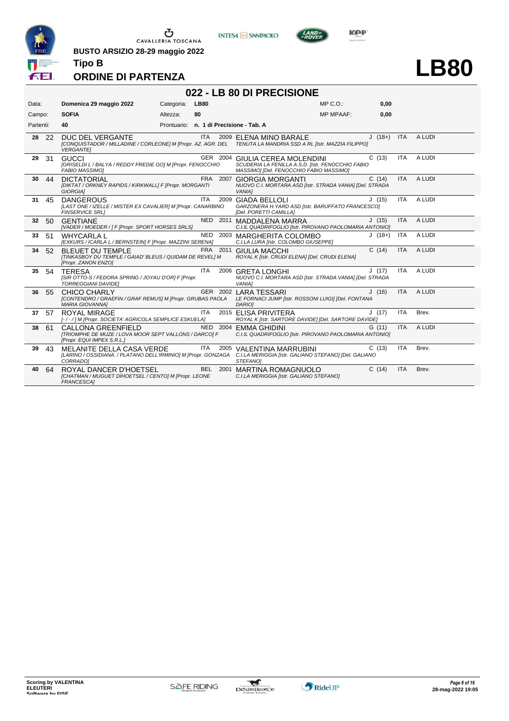

**BUSTO ARSIZIO 28-29 maggio 2022**





**LB80**

### **ORDINE DI PARTENZA**

**Tipo B**

#### **022 - LB 80 DI PRECISIONE**

| Data:           |       | Domenica 29 maggio 2022                                                                                    | Categoria: | <b>LB80</b> | $MP C. O.$ :                                                                                                                                                 | 0,00     |            |        |
|-----------------|-------|------------------------------------------------------------------------------------------------------------|------------|-------------|--------------------------------------------------------------------------------------------------------------------------------------------------------------|----------|------------|--------|
| Campo:          |       | <b>SOFIA</b>                                                                                               | Altezza:   | 80          | <b>MP MPAAF:</b>                                                                                                                                             | 0.00     |            |        |
| Partenti:       |       | 40                                                                                                         |            |             | Prontuario: n. 1 di Precisione - Tab. A                                                                                                                      |          |            |        |
| 28              | -22   | DUC DEL VERGANTE<br><b>VERGANTEI</b>                                                                       |            | <b>ITA</b>  | 2009 ELENA MINO BARALE<br>[CONQUISTADOR / MILLADINE / CORLEONE] M [Propr. AZ. AGR. DEL TENUTA LA MANDRIA SSD A RL [Istr. MAZZIA FILIPPO]                     | $J(18+)$ | <b>ITA</b> | A LUDI |
| 29              | -31   | GUCCL<br>[GRISELDI L / BALYA / REDDY FREDIE GO] M [Propr. FENOCCHIO<br><b>FABIO MASSIMOI</b>               |            |             | GER 2004 GIULIA CEREA MOLENDINI<br>SCUDERIA LA FENILLA A.S.D. [Istr. FENOCCHIO FABIO<br>MASSIMO] [Del. FENOCCHIO FABIO MASSIMO]                              | C(13)    | <b>ITA</b> | A LUDI |
| 30              | 44    | <b>DICTATORIAL</b><br>[DIKTAT / ORKNEY RAPIDS / KIRKWALL] F [Propr. MORGANTI<br>GIORGIA]                   |            |             | FRA 2007 GIORGIA MORGANTI<br>NUOVO C.I. MORTARA ASD [Istr. STRADA VANIA] [Del. STRADA<br><b>VANIAI</b>                                                       | C(14)    | <b>ITA</b> | A LUDI |
| 31              | 45    | <b>DANGEROUS</b><br>[LAST ONE / IZELLE / MISTER EX CAVALIER] M [Propr. CANARBINO<br><b>FINSERVICE SRL1</b> |            | ITA         | 2009 GIADA BELLOLI<br>GARZONERA H. YARD ASD [Istr. BARUFFATO FRANCESCO]<br>[Del. PORETTI CAMILLA]                                                            | J(15)    | <b>ITA</b> | A LUDI |
| 32 <sup>2</sup> | 50    | <b>GENTIANE</b><br>[VADER / MOEDER / ] F [Propr. SPORT HORSES SRLS]                                        |            |             | NED 2011 MADDALENA MARRA<br>C.I.IL QUADRIFOGLIO [Istr. PIROVANO PAOLOMARIA ANTONIO]                                                                          | J(15)    | <b>ITA</b> | A LUDI |
| 33              | -51   | <b>WHYCARLA L</b><br>[EXKURS / ICARLA L / BERNSTEIN] F [Propr. MAZZINI SERENA]                             |            |             | NED 2003 MARGHERITA COLOMBO<br>C.I.LA LURA [Istr. COLOMBO GIUSEPPE]                                                                                          | $J(18+)$ | <b>ITA</b> | A LUDI |
|                 | 34 52 | <b>BLEUET DU TEMPLE</b><br>[TINKASBOY DU TEMPLE / GAIAD' BLEUS / QUIDAM DE REVEL] M<br>[Propr. ZANON ENZO] |            |             | FRA 2011 GIULIA MACCHI<br>ROYAL K [Istr. CRUDI ELENA] [Del. CRUDI ELENA]                                                                                     | C(14)    | <b>ITA</b> | A LUDI |
| 35              | -54   | <b>TERESA</b><br>ISIR OTTO-S / FEDORA SPRING / JOYAU D'OR] F [Propr.<br><b>TORREGGIANI DAVIDEI</b>         |            | ITA         | 2006 GRETA LONGHI<br>NUOVO C.I. MORTARA ASD [Istr. STRADA VANIA] [Del. STRADA<br><b>VANIA1</b>                                                               | J(17)    | <b>ITA</b> | A LUDI |
| 36              | 55    | CHICO CHARLY<br>[CONTENDRO / GRAEFIN / GRAF REMUS] M [Propr. GRUBAS PAOLA<br><b>MARIA GIOVANNAI</b>        |            |             | GER 2002 LARA TESSARI<br>LE FORNACI JUMP [Istr. ROSSONI LUIGI] [Del. FONTANA<br>DARIO]                                                                       | J(16)    | <b>ITA</b> | A LUDI |
| 37              | 57    | <b>ROYAL MIRAGE</b><br>[-/-/] M [Propr. SOCIETA' AGRICOLA SEMPLICE ESKUELA]                                |            | ITA         | 2015 ELISA PRIVITERA<br>ROYAL K [Istr. SARTORE DAVIDE] [Del. SARTORE DAVIDE]                                                                                 | J(17)    | <b>ITA</b> | Brev.  |
| 38              | -61   | CALLONA GREENFIELD<br>[TRIOMPHE DE MUZE / LOVA MOOR SEPT VALLONS / DARCO] F<br>[Propr. EQUI IMPEX S.R.L.]  |            |             | NED 2004 EMMA GHIDINI<br>C.I.IL QUADRIFOGLIO [Istr. PIROVANO PAOLOMARIA ANTONIO]                                                                             | G(11)    | <b>ITA</b> | A LUDI |
| 39              | 43    | MELANITE DELLA CASA VERDE<br>CORRADO]                                                                      |            | ITA         | 2005 VALENTINA MARRUBINI<br>[LARINO / OSSIDIANA. / PLATANO DELL'IRMINIO] M [Propr. GONZAGA C.I.LA MERIGGIA [Istr. GALIANO STEFANO] [Del. GALIANO<br>STEFANOI | C(13)    | <b>ITA</b> | Brev.  |
| 40              | 64    | ROYAL DANCER D'HOETSEL<br>[CHATMAN / MUGUET DIHOETSEL / CENTO] M [Propr. LEONE<br>FRANCESCA]               |            |             | BEL 2001 MARTINA ROMAGNUOLO<br>C.I.LA MERIGGIA [Istr. GALIANO STEFANO]                                                                                       | C(14)    | <b>ITA</b> | Brev.  |

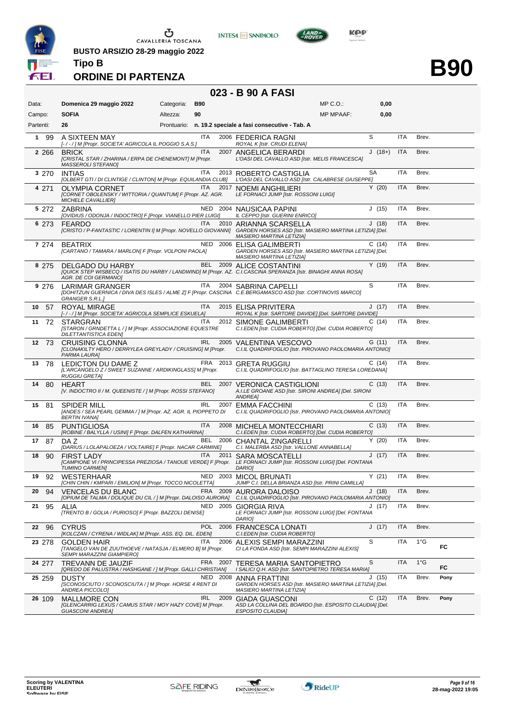

**INTESA M** SANPAOLO



**KOP** 

**B90**

**Tipo B ORDINE DI PARTENZA**

**BUSTO ARSIZIO 28-29 maggio 2022**

#### **023 - B 90 A FASI**

|                     |                                                                                                                                                            |            |            |          | יטה ו ה טע ש                                                                                                  |                  |          |            |               |      |
|---------------------|------------------------------------------------------------------------------------------------------------------------------------------------------------|------------|------------|----------|---------------------------------------------------------------------------------------------------------------|------------------|----------|------------|---------------|------|
| Data:               | Domenica 29 maggio 2022                                                                                                                                    | Categoria: | <b>B90</b> |          |                                                                                                               | $MP C. O.$ :     | 0,00     |            |               |      |
| Campo:              | <b>SOFIA</b>                                                                                                                                               | Altezza:   | 90         |          |                                                                                                               | <b>MP MPAAF:</b> | 0,00     |            |               |      |
| Partenti:           | 26                                                                                                                                                         |            |            |          | Prontuario: n. 19.2 speciale a fasi consecutive - Tab. A                                                      |                  |          |            |               |      |
| $\mathbf{1}$<br>-99 | A SIXTEEN MAY<br>[-/-/] M [Propr. SOCIETA' AGRICOLA IL POGGIO S.A.S.]                                                                                      |            | ITA        |          | 2006 FEDERICA RAGNI<br>ROYAL K [Istr. CRUDI ELENA]                                                            |                  | S        | <b>ITA</b> | Brev.         |      |
| 2 2 6 6             | <b>BRICK</b><br>[CRISTAL STAR / ZHARINA / ERPA DE CHENEMONT] M [Propr.<br>MASSEROLI STEFANO]                                                               |            | <b>ITA</b> |          | 2007 ANGELICA BERARDI<br>L'OASI DEL CAVALLO ASD [Istr. MELIS FRANCESCA]                                       |                  | $J(18+)$ | <b>ITA</b> | Brev.         |      |
| 3 270               | <b>INTIAS</b><br>[OLBERT GTI / DI CLINTIGE / CLINTON] M [Propr. EQUILANDIA CLUB]                                                                           |            | ITA        |          | 2013 ROBERTO CASTIGLIA<br>L'OASI DEL CAVALLO ASD [Istr. CALABRESE GIUSEPPE]                                   |                  | SA       | <b>ITA</b> | Brev.         |      |
| 4 271               | <b>OLYMPIA CORNET</b><br>[CORNET OBOLENSKY / WITTORIA / QUANTUM] F [Propr. AZ. AGR.<br>MICHELE CAVALLIER]                                                  |            | <b>ITA</b> |          | 2017 NOEMI ANGHILIERI<br>LE FORNACI JUMP [Istr. ROSSONI LUIGI]                                                |                  | Y(20)    | <b>ITA</b> | Brev.         |      |
| 5 272               | <b>ZABRINA</b><br>[OVIDIUS / ODONJA / INDOCTRO] F [Propr. VIANELLO PIER LUIGI]                                                                             |            |            |          | NED 2004 NAUSICAA PAPINI<br>IL CEPPO [Istr. GUERINI ENRICO]                                                   |                  | J(15)    | <b>ITA</b> | Brev.         |      |
| 6 273               | <b>FEARDO</b><br>[CRISTO / P-FANTASTIC / LORENTIN I] M [Propr. NOVELLO GIOVANNI] GARDEN HORSES ASD [Istr. MASIERO MARTINA LETIZIA] [Del.                   |            | <b>ITA</b> | 2010     | ARIANNA SCARSELLA<br><b>MASIERO MARTINA LETIZIA]</b>                                                          |                  | J(18)    | <b>ITA</b> | Brev.         |      |
| 7 274               | <b>BEATRIX</b><br>[CARTANO / TAMARA / MARLON] F [Propr. VOLPONI PAOLA]                                                                                     |            |            | NED 2006 | ELISA GALIMBERTI<br>GARDEN HORSES ASD [Istr. MASIERO MARTINA LETIZIA] [Del.<br>MASIERO MARTINA LETIZIA]       |                  | C(14)    | <b>ITA</b> | Brev.         |      |
| 8 275               | DELGADO DU HARBY<br>[QUICK STEP WISBECQ / ISATIS DU HARBY / LANDWIND] M [Propr. AZ. C.I.CASCINA SPERANZA [Istr. BINAGHI ANNA ROSA]<br>AGR. DE COI GERMANO] |            |            |          | BEL 2009 ALICE COSTANTINI                                                                                     |                  | Y(19)    | <b>ITA</b> | Brev.         |      |
| 9 276               | LARIMAR GRANGER<br>[DOHITZUN GUERNICA / DIVA DES ISLES / ALME Z] F [Propr. CASCINA C.E.BERGAMASCO ASD [Istr. CORTINOVIS MARCO]<br><b>GRANGER S.R.L.</b> ]  |            | ITA        |          | 2004 SABRINA CAPELLI                                                                                          |                  | S        | <b>ITA</b> | Brev.         |      |
| 57<br>10            | ROYAL MIRAGE<br>[-/-/] M [Propr. SOCIETA' AGRICOLA SEMPLICE ESKUELA]                                                                                       |            | <b>ITA</b> |          | 2015 ELISA PRIVITERA<br>ROYAL K [Istr. SARTORE DAVIDE] [Del. SARTORE DAVIDE]                                  |                  | J(17)    | <b>ITA</b> | Brev.         |      |
| 11<br>72            | <b>STARGRAN</b><br>[STARON / GRNDETTA L / ] M [Propr. ASSOCIAZIONE EQUESTRE<br><b>DILETTANTISTICA EDEN]</b>                                                |            | <b>ITA</b> |          | 2012 SIMONE GALIMBERTI<br>C.I.EDEN [Istr. CUDIA ROBERTO] [Del. CUDIA ROBERTO]                                 |                  | C(14)    | <b>ITA</b> | Brev.         |      |
| 12<br>73            | <b>CRUISING CLONNA</b><br>[CLONAKILTY HERO / DERRYLEA GREYLADY / CRUISING] M [Propr.<br>PARMA LAURA]                                                       |            | <b>IRL</b> |          | 2005 VALENTINA VESCOVO<br>C.I.IL QUADRIFOGLIO [Istr. PIROVANO PAOLOMARIA ANTONIO]                             |                  | G (11)   | <b>ITA</b> | Brev.         |      |
| 13<br>78            | LEDICTON DU DAME Z<br>[L'ARCANGELO Z / SWEET SUZANNE / ARDIKINGLASS] M [Propr.<br><b>RUGGIU GRETA]</b>                                                     |            |            |          | FRA 2013 GRETA RUGGIU<br>C.I.IL QUADRIFOGLIO [Istr. BATTAGLINO TERESA LOREDANA]                               |                  | C(14)    | <b>ITA</b> | Brev.         |      |
| 80<br>14            | <b>HEART</b><br>[V. INDOCTRO II / M. QUEENISTE / ] M [Propr. ROSSI STEFANO]                                                                                |            |            |          | BEL 2007 VERONICA CASTIGLIONI<br>A.I.LE GROANE ASD [Istr. SIRONI ANDREA] [Del. SIRONI<br>ANDREA]              |                  | C(13)    | <b>ITA</b> | Brev.         |      |
| 15<br>81            | <b>SPIDER MILL</b><br>[ANDES / SEA PEARL GEMMA / ] M [Propr. AZ. AGR. IL PIOPPETO DI<br><b>BERTIN IVANAI</b>                                               |            | <b>IRL</b> |          | 2007 EMMA FACCHINI<br>C.I.IL QUADRIFOGLIO [Istr. PIROVANO PAOLOMARIA ANTONIO]                                 |                  | C(13)    | <b>ITA</b> | Brev.         |      |
| 16<br>85            | <b>PUNTIGLIOSA</b><br>[ROBINE / BALYLLA / USINI] F [Propr. DALFEN KATHARINA]                                                                               |            | ITA        |          | 2008 MICHELA MONTECCHIARI<br>C.I.EDEN [Istr. CUDIA ROBERTO] [Del. CUDIA ROBERTO]                              |                  | C(13)    | <b>ITA</b> | Brev.         |      |
| 17<br>87            | DA Z<br>[DARIUS / LOLAPALOEZA / VOLTAIRE] F [Propr. NACAR CARMINE]                                                                                         |            | BEL        |          | 2006 CHANTAL ZINGARELLI<br>C.I. MALERBA ASD [Istr. VALLONE ANNABELLA]                                         |                  | Y(20)    | <b>ITA</b> | Brev.         |      |
| 18<br>90            | <b>FIRST LADY</b><br>[CAMPIONE VI / PRINCIPESSA PREZIOSA / TANOUE VERDE] F [Propr.<br><b>TUMINO CARMENI</b>                                                |            | <b>ITA</b> | 2011     | <b>SARA MOSCATELLI</b><br>LE FORNACI JUMP [Istr. ROSSONI LUIGI] [Del. FONTANA<br><b>DARIOI</b>                |                  | J(17)    | <b>ITA</b> | Brev.         |      |
| 92<br>19            | <b>WESTERHAAR</b><br>[CHIN CHIN / KMPARI / EMILION] M [Propr. TOCCO NICOLETTA]                                                                             |            |            |          | NED 2003 MICOL BRUNATI<br>JUMP C.I. DELLA BRIANZA ASD [Istr. PRINI CAMILLA]                                   |                  | Y(21)    | <b>ITA</b> | Brev.         |      |
| 20<br>94            | <b>VENCELAS DU BLANC</b><br>[OPIUM DE TALMA / DOLIQUE DU CIL / ] M [Propr. DALOISO AURORA]                                                                 |            | <b>FRA</b> | 2009     | AURORA DALOISO<br>C.I.IL QUADRIFOGLIO [Istr. PIROVANO PAOLOMARIA ANTONIO]                                     |                  | J(18)    | <b>ITA</b> | Brev.         |      |
| 21<br>95            | ALIA<br>[TRENTO B / GOLIA / PURIOSO] F [Propr. BAZZOLI DENISE]                                                                                             |            |            |          | NED 2005 GIORGIA RIVA<br>LE FORNACI JUMP [Istr. ROSSONI LUIGI] [Del. FONTANA<br>DARIO]                        |                  | J (17)   | <b>ITA</b> | Brev.         |      |
| 22 96               | <b>CYRUS</b><br>[KOLCZAN / CYRENA / WIDLAK] M [Propr. ASS. EQ. DIL. EDEN]                                                                                  |            | <b>POL</b> |          | 2006 FRANCESCA LONATI<br>C.I.EDEN [Istr. CUDIA ROBERTO]                                                       |                  | J(17)    | <b>ITA</b> | Brev.         |      |
| 23 278              | <b>GOLDEN HAIR</b><br>[TANGELO VAN DE ZUUTHOEVE / NATASJA / ELMERO B] M [Propr.<br>SEMPI MARAZZINI GIAMPIERO]                                              |            | <b>ITA</b> | 2006     | ALEXIS SEMPI MARAZZINI<br>CI LA FONDA ASD [Istr. SEMPI MARAZZINI ALEXIS]                                      |                  | S        | <b>ITA</b> | $1^{\circ}$ G | FC   |
| 24 277              | <b>TREVANN DE JAUZIF</b><br>[QREDO DE PALUSTRA / HASHGANE / ] M [Propr. GALLI CHRISTIAN]                                                                   |            |            |          | FRA 2007 TERESA MARIA SANTOPIETRO<br>I SALICI Q.H. ASD [Istr. SANTOPIETRO TERESA MARIA]                       |                  | S        | <b>ITA</b> | $1^{\circ}$ G | FC   |
| 25 259              | <b>DUSTY</b><br>[SCONOSCIUTO / SCONOSCIUTA / ] M [Propr. HORSE 4 RENT DI<br>ANDREA PICCOLO]                                                                |            |            | NED 2008 | ANNA FRATTINI<br>GARDEN HORSES ASD [Istr. MASIERO MARTINA LETIZIA] [Del.<br><b>MASIERO MARTINA LETIZIA]</b>   |                  | J(15)    | <b>ITA</b> | Brev.         | Pony |
| 26 109              | <b>MALLMORE CON</b><br>[GLENCARRIG LEXUS / CAMUS STAR / MOY HAZY COVE] M [Propr.<br><b>GUASCONI ANDREA]</b>                                                |            | <b>IRL</b> | 2009     | <b>GIADA GUASCONI</b><br>ASD LA COLLINA DEL BOARDO [Istr. ESPOSITO CLAUDIA] [Del.<br><b>ESPOSITO CLAUDIA]</b> |                  | C(12)    | <b>ITA</b> | Brev.         | Pony |

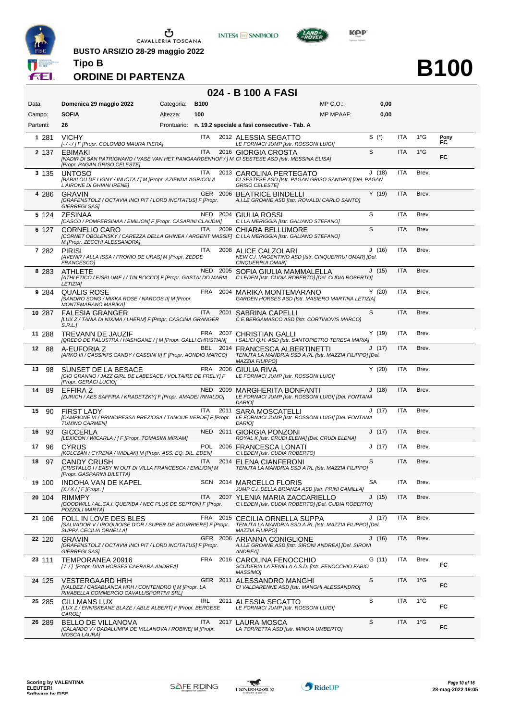

**BUSTO ARSIZIO 28-29 maggio 2022**







**B100**

## **ORDINE DI PARTENZA**

|  |  | 024 - B 100 A FASI |
|--|--|--------------------|
|--|--|--------------------|

| Data:     | Domenica 29 maggio 2022                                                                                                                                   | Categoria: | <b>B100</b> |          |                                                                                                                    | MP C.O.:         | 0,00      |            |               |            |
|-----------|-----------------------------------------------------------------------------------------------------------------------------------------------------------|------------|-------------|----------|--------------------------------------------------------------------------------------------------------------------|------------------|-----------|------------|---------------|------------|
| Campo:    | <b>SOFIA</b>                                                                                                                                              | Altezza:   | 100         |          |                                                                                                                    | <b>MP MPAAF:</b> | 0,00      |            |               |            |
| Partenti: | 26                                                                                                                                                        |            |             |          | Prontuario: n. 19.2 speciale a fasi consecutive - Tab. A                                                           |                  |           |            |               |            |
| 1 2 8 1   | <b>VICHY</b><br>[-/-/] F [Propr. COLOMBO MAURA PIERA]                                                                                                     |            | ITA         |          | 2012 ALESSIA SEGATTO<br>LE FORNACI JUMP [Istr. ROSSONI LUIGI]                                                      |                  | $S^{(*)}$ | ITA        | $1^{\circ}$ G | Pony<br>FC |
| 2 137     | EBIMAKI<br>[NADIR DI SAN PATRIGNANO / VASE VAN HET PANGAARDENHOF / ] M CI SESTESE ASD [Istr. MESSINA ELISA]<br>[Propr. PAGAN GRISO CELESTE]               |            | <b>ITA</b>  |          | 2016 GIORGIA CROSTA                                                                                                |                  | S         | <b>ITA</b> | $1^{\circ}$ G | FC         |
| 3 1 3 5   | <b>UNTOSO</b><br>[BABALOU DE LIGNY / INUCTA / ] M [Propr. AZIENDA AGRICOLA<br>L'AIRONE DI GHIANI IRENE]                                                   |            | ITA         |          | 2013 CAROLINA PERTEGATO<br>CI SESTESE ASD [Istr. PAGAN GRISO SANDRO] [Del. PAGAN<br><b>GRISO CELESTE]</b>          |                  | J(18)     | <b>ITA</b> | Brev.         |            |
| 4 2 8 6   | <b>GRAVIN</b><br>[GRAFENSTOLZ / OCTAVIA INCI PIT / LORD INCITATUS] F [Propr.<br><b>GIERREGI SAS]</b>                                                      |            |             |          | GER 2006 BEATRICE BINDELLI<br>A.I.LE GROANE ASD [Istr. ROVALDI CARLO SANTO]                                        |                  | Y(19)     | <b>ITA</b> | Brev.         |            |
| 5 124     | <b>ZESINAA</b><br>[CASCO / POMPERSINAA / EMILION] F [Propr. CASARINI CLAUDIA]                                                                             |            |             |          | NED 2004 GIULIA ROSSI<br>C.I.LA MERIGGIA [Istr. GALIANO STEFANO]                                                   |                  | S         | <b>ITA</b> | Brev.         |            |
| 6 127     | <b>CORNELIO CARO</b><br>[CORNET OBOLENSKY / CAREZZA DELLA GHINEA / ARGENT MASSIF] C.I.LA MERIGGIA [Istr. GALIANO STEFANO]<br>M [Propr. ZECCHI ALESSANDRA] |            | ITA         |          | 2009 CHIARA BELLUMORE                                                                                              |                  | S         | <b>ITA</b> | Brev.         |            |
| 7 282     | <b>PIRISI</b><br>[AVENIR / ALLA ISSA / FRONIO DE URAS] M [Propr. ZEDDE<br>FRANCESCO]                                                                      |            | ITA         |          | 2008 ALICE CALZOLARI<br>NEW C.I. MAGENTINO ASD [Istr. CINQUERRUI OMAR] [Del.<br>CINQUERRUI OMAR]                   |                  | J(16)     | <b>ITA</b> | Brev.         |            |
| 8 2 8 3   | <b>ATHLETE</b><br>[ATHLETICO / EISBLUME I / TIN ROCCO] F [Propr. GASTALDO MARIA<br><b>LETIZIA]</b>                                                        |            |             |          | NED 2005 SOFIA GIULIA MAMMALELLA<br>C.I.EDEN [Istr. CUDIA ROBERTO] [Del. CUDIA ROBERTO]                            |                  | J(15)     | <b>ITA</b> | Brev.         |            |
| 9 2 8 4   | <b>QUALIS ROSE</b><br>[SANDRO SONG / MIKKA ROSE / NARCOS II] M [Propr.<br><b>MONTEMARANO MARIKA]</b>                                                      |            |             |          | FRA 2004 MARIKA MONTEMARANO<br>GARDEN HORSES ASD [Istr. MASIERO MARTINA LETIZIA]                                   |                  | Y(20)     | ITA        | Brev.         |            |
| 10 287    | <b>FALESIA GRANGER</b><br>[LUX Z / TANIA DI NIXIMA / LHERM] F [Propr. CASCINA GRANGER<br>S.R.L.                                                           |            | <b>ITA</b>  |          | 2001 SABRINA CAPELLI<br>C.E.BERGAMASCO ASD [Istr. CORTINOVIS MARCO]                                                |                  | S         | <b>ITA</b> | Brev.         |            |
| 11 288    | <b>TREVANN DE JAUZIF</b><br>[QREDO DE PALUSTRA / HASHGANE / ] M [Propr. GALLI CHRISTIAN]                                                                  |            |             | FRA 2007 | <b>CHRISTIAN GALLI</b><br>I SALICI Q.H. ASD [Istr. SANTOPIETRO TERESA MARIA]                                       |                  | Y(19)     | <b>ITA</b> | Brev.         |            |
| 12<br>88  | A-EUFORIA Z<br>[ARKO III / CASSINI'S CANDY / CASSINI II] F [Propr. AONDIO MARCO]                                                                          |            |             | BEL 2014 | <b>FRANCESCA ALBERTINETTI</b><br>TENUTA LA MANDRIA SSD A RL [Istr. MAZZIA FILIPPO] [Del.<br><b>MAZZIA FILIPPO]</b> |                  | J(17)     | <b>ITA</b> | Brev.         |            |
| 98<br>13  | SUNSET DE LA BESACE<br>[GIO GRANNO / JAZZ GIRL DE LABESACE / VOLTAIRE DE FRELY] F<br>[Propr. GERACI LUCIO]                                                |            |             |          | FRA 2006 GIULIA RIVA<br>LE FORNACI JUMP [Istr. ROSSONI LUIGI]                                                      |                  | Y(20)     | <b>ITA</b> | Brev.         |            |
| 14<br>89  | EFFIRA Z<br>[ZURICH / AES SAFFIRA / KRADETZKY] F [Propr. AMADEI RINALDO]                                                                                  |            |             |          | NED 2009 MARGHERITA BONFANTI<br>LE FORNACI JUMP [Istr. ROSSONI LUIGI] [Del. FONTANA<br><b>DARIOI</b>               |                  | J(18)     | <b>ITA</b> | Brev.         |            |
| 90<br>15  | <b>FIRST LADY</b><br>[CAMPIONE VI / PRINCIPESSA PREZIOSA / TANOUE VERDE] F [Propr.<br>TUMINO CARMEN]                                                      |            | ITA         | 2011     | <b>SARA MOSCATELLI</b><br>LE FORNACI JUMP [Istr. ROSSONI LUIGI] [Del. FONTANA<br>DARIO]                            |                  | J (17)    | <b>ITA</b> | Brev.         |            |
| 93<br>16  | <b>GICCERLA</b><br>[LEXICON / WICARLA / ] F [Propr. TOMASINI MIRIAM]                                                                                      |            |             |          | NED 2011 GIORGIA PONZONI<br>ROYAL K [Istr. CRUDI ELENA] [Del. CRUDI ELENA]                                         |                  | J(17)     | <b>ITA</b> | Brev.         |            |
| 17<br>96  | CYRUS<br>[KOLCZAN / CYRENA / WIDLAK] M [Propr. ASS. EQ. DIL. EDEN]                                                                                        |            | <b>POL</b>  |          | 2006 FRANCESCA LONATI<br>C.I.EDEN [Istr. CUDIA ROBERTO]                                                            |                  | J(17)     | <b>ITA</b> | Brev.         |            |
| 97<br>18  | <b>CANDY CRUSH</b><br>[CRISTALLO I / EASY IN OUT DI VILLA FRANCESCA / EMILION] M<br>[Propr. GASPARINI DILETTA]                                            |            | <b>ITA</b>  |          | 2014 ELENA CIANFERONI<br>TENUTA LA MANDRIA SSD A RL [Istr. MAZZIA FILIPPO]                                         |                  | S         | <b>ITA</b> | Brev.         |            |
| 19 100    | INDOHA VAN DE KAPEL<br>[ $X/X$ / ] F [Propr. ]                                                                                                            |            |             |          | SCN 2014 MARCELLO FLORIS<br>JUMP C.I. DELLA BRIANZA ASD [Istr. PRINI CAMILLA]                                      |                  | <b>SA</b> | ITA        | Brev.         |            |
| 20 104    | <b>RIMMPY</b><br>[GOODWILL / AL.CA.I. QUERIDA / NEC PLUS DE SEPTON] F [Propr.<br>POZZOLI MARTAJ                                                           |            | <b>ITA</b>  |          | 2007 YLENIA MARIA ZACCARIELLO<br>C.I.EDEN [Istr. CUDIA ROBERTO] [Del. CUDIA ROBERTO]                               |                  | J(15)     | ITA        | Brev.         |            |
| 21 106    | FOLL IN LOVE DES BLES<br>[SALVADOR V / IROQUIOISE D'OR / SUPER DE BOURRIERE] F [Propr.<br>SUPPA CECILIA ORNELLAI                                          |            |             |          | FRA 2015 CECILIA ORNELLA SUPPA<br>TENUTA LA MANDRIA SSD A RL [Istr. MAZZIA FILIPPO] [Del.<br>MAZZIA FILIPPO]       |                  | J (17)    | ITA        | Brev.         |            |
| 22 120    | <b>GRAVIN</b><br>[GRAFENSTOLZ / OCTAVIA INCI PIT / LORD INCITATUS] F [Propr.<br><b>GIERREGI SAS]</b>                                                      |            |             | GER 2006 | ARIANNA CONIGLIONE<br>A.I.LE GROANE ASD [Istr. SIRONI ANDREA] [Del. SIRONI<br>ANDREA]                              |                  | J(16)     | ITA        | Brev.         |            |
| 23 111    | TEMPORANEA 20916<br>[/ /] [Propr. DIVA HORSES CAPRARA ANDREA]                                                                                             |            |             | FRA 2016 | CAROLINA FENOCCHIO<br>SCUDERIA LA FENILLA A.S.D. [Istr. FENOCCHIO FABIO<br>MASSIMO]                                |                  | G (11)    | <b>ITA</b> | Brev.         | FC         |
| 24 125    | <b>VESTERGAARD HRH</b><br>[VALDEZ / CASABLANCA HRH / CONTENDRO I] M [Propr. LA<br>RIVABELLA COMMERCIO CAVALLISPORTIVI SRL]                                |            |             | GER 2011 | ALESSANDRO MANGHI<br>CI VALDARENNE ASD [Istr. MANGHI ALESSANDRO]                                                   |                  | S         | ITA        | $1^{\circ}$ G | FC         |
| 25 285    | GILLMANS LUX<br>[LUX Z / ENNISKEANE BLAZE / ABLE ALBERT] F [Propr. BERGESE<br>CAROL]                                                                      |            | IRL         | 2011     | ALESSIA SEGATTO<br>LE FORNACI JUMP [Istr. ROSSONI LUIGI]                                                           |                  | S         | <b>ITA</b> | $1^{\circ}G$  | FC         |
| 26 289    | BELLO DE VILLANOVA<br>[CALANDO V / DADALUMPA DE VILLANOVA / ROBINE] M [Propr.<br><b>MOSCA LAURA]</b>                                                      |            | ITA         |          | 2017 LAURA MOSCA<br>LA TORRETTA ASD [Istr. MINOIA UMBERTO]                                                         |                  | S         | ITA        | $1^{\circ}$ G | FC         |

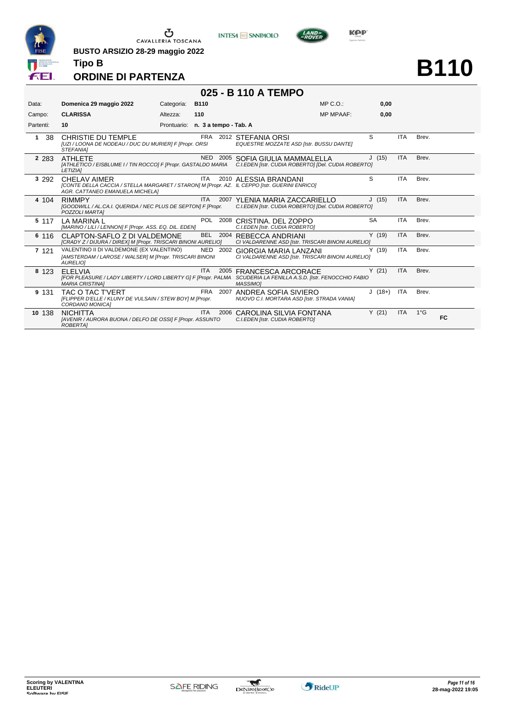

**INTESA M** SANPAOLO



**B110**

#### **ORDINE DI PARTENZA**

**Tipo B**

**BUSTO ARSIZIO 28-29 maggio 2022**

|           |                                                                                                                                                        |            |                                   | 025 - B 110 A TEMPO          |                                                                                      |                  |            |              |           |
|-----------|--------------------------------------------------------------------------------------------------------------------------------------------------------|------------|-----------------------------------|------------------------------|--------------------------------------------------------------------------------------|------------------|------------|--------------|-----------|
| Data:     | Domenica 29 maggio 2022                                                                                                                                | Categoria: | <b>B110</b>                       |                              |                                                                                      | $MP C. O.$ :     | 0,00       |              |           |
| Campo:    | <b>CLARISSA</b>                                                                                                                                        | Altezza:   | 110                               |                              |                                                                                      | <b>MP MPAAF:</b> | 0,00       |              |           |
| Partenti: | 10                                                                                                                                                     |            | Prontuario: n. 3 a tempo - Tab. A |                              |                                                                                      |                  |            |              |           |
| 38<br>1   | CHRISTIE DU TEMPLE<br>[UZI / LOONA DE NODEAU / DUC DU MURIER] F [Propr. ORSI<br><b>STEFANIAI</b>                                                       |            | FRA                               | 2012 STEFANIA ORSI           | EQUESTRE MOZZATE ASD [Istr. BUSSU DANTE]                                             | S                | <b>ITA</b> | Brev.        |           |
| 2 2 8 3   | <b>ATHLETE</b><br>[ATHLETICO / EISBLUME I / TIN ROCCO] F [Propr. GASTALDO MARIA C.I.EDEN [Istr. CUDIA ROBERTO] [Del. CUDIA ROBERTO]<br><b>LETIZIAI</b> |            |                                   |                              | NED 2005 SOFIA GIULIA MAMMALELLA                                                     | J(15)            | <b>ITA</b> | Brev.        |           |
| 3 2 9 2   | CHELAV AIMER<br>[CONTE DELLA CACCIA / STELLA MARGARET / STARON] M [Propr. AZ. IL CEPPO [Istr. GUERINI ENRICO]<br>AGR. CATTANEO EMANUELA MICHELA]       |            | <b>ITA</b>                        | 2010 ALESSIA BRANDANI        |                                                                                      | S                | <b>ITA</b> | Brev.        |           |
| 4 104     | <b>RIMMPY</b><br>[GOODWILL / AL.CA.I. QUERIDA / NEC PLUS DE SEPTON] F [Propr.<br>POZZOLI MARTAI                                                        |            | ITA.                              |                              | 2007 YLENIA MARIA ZACCARIELLO<br>C.I.EDEN [Istr. CUDIA ROBERTO] [Del. CUDIA ROBERTO] | J(15)            | <b>ITA</b> | Brev.        |           |
| 5 117     | LA MARINA L<br>[MARINO / LILI / LENNON] F [Propr. ASS. EQ. DIL. EDEN]                                                                                  |            |                                   | POL 2008 CRISTINA, DEL ZOPPO | C.I.EDEN [Istr. CUDIA ROBERTO]                                                       | <b>SA</b>        | <b>ITA</b> | Brev.        |           |
| 6 116     | CLAPTON-SAFLO Z DI VALDEMONE<br>[CRADY Z / DIJURA / DIREX] M [Propr. TRISCARI BINONI AURELIO]                                                          |            | BEL                               | 2004 REBECCA ANDRIANI        | CI VALDARENNE ASD [Istr. TRISCARI BINONI AURELIO]                                    | Y(19)            | <b>ITA</b> | Brev.        |           |
| 7 1 2 1   | VALENTINO II DI VALDEMONE (EX VALENTINO)<br>[AMSTERDAM / LAROSE / WALSER] M [Propr. TRISCARI BINONI<br><b>AURELIOI</b>                                 |            | NED 2002                          |                              | <b>GIORGIA MARIA LANZANI</b><br>CI VALDARENNE ASD [Istr. TRISCARI BINONI AURELIO]    | Y(19)            | <b>ITA</b> | Brev.        |           |
| 8 1 2 3   | <b>ELELVIA</b><br>[FOR PLEASURE / LADY LIBERTY / LORD LIBERTY G] F [Propr. PALMA<br><b>MARIA CRISTINA1</b>                                             |            | <b>ITA</b>                        | MASSIMO1                     | 2005 FRANCESCA ARCORACE<br>SCUDERIA LA FENILLA A.S.D. [Istr. FENOCCHIO FABIO         | Y(21)            | <b>ITA</b> | Brev.        |           |
| 9 131     | TAC O TAC T'VERT<br>[FLIPPER D'ELLE / KLUNY DE VULSAIN / STEW BOY] M [Propr.<br>CORDANO MONICA]                                                        |            | FRA                               | 2007                         | ANDREA SOFIA SIVIERO<br>NUOVO C.I. MORTARA ASD [Istr. STRADA VANIA]                  | $J(18+)$         | <b>ITA</b> | Brev.        |           |
| 10 138    | <b>NICHITTA</b><br>[AVENIR / AURORA BUONA / DELFO DE OSSI] F [Propr. ASSUNTO<br><b>ROBERTAI</b>                                                        |            | ITA.                              | 2006                         | CAROLINA SILVIA FONTANA<br>C.I.EDEN [Istr. CUDIA ROBERTO]                            | Y(21)            | <b>ITA</b> | $1^{\circ}G$ | <b>FC</b> |

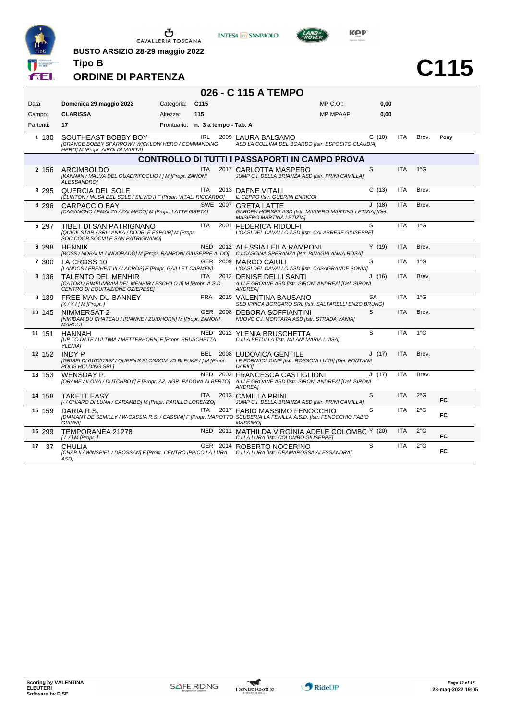

**BUSTO ARSIZIO 28-29 maggio 2022**



**KOP** 



#### **ORDINE DI PARTENZA**

**Tipo B**

| 026 - C 115 A TEMPO |                                                                                                                                             |                                   |                  |                                                                                                                    |                  |           |            |               |           |  |
|---------------------|---------------------------------------------------------------------------------------------------------------------------------------------|-----------------------------------|------------------|--------------------------------------------------------------------------------------------------------------------|------------------|-----------|------------|---------------|-----------|--|
| Data:               | Domenica 29 maggio 2022                                                                                                                     | Categoria:                        | C <sub>115</sub> |                                                                                                                    | $MP C. O.$ :     | 0,00      |            |               |           |  |
| Campo:              | <b>CLARISSA</b>                                                                                                                             | Altezza:                          | 115              |                                                                                                                    | <b>MP MPAAF:</b> | 0.00      |            |               |           |  |
| Partenti:           | 17                                                                                                                                          | Prontuario: n. 3 a tempo - Tab. A |                  |                                                                                                                    |                  |           |            |               |           |  |
| 1 1 3 0             | SOUTHEAST BOBBY BOY<br><b>[GRANGE BOBBY SPARROW / WICKLOW HERO / COMMANDING</b><br>HERO] M [Propr. AIROLDI MARTA]                           |                                   | IRL              | 2009 LAURA BALSAMO<br>ASD LA COLLINA DEL BOARDO [Istr. ESPOSITO CLAUDIA]                                           |                  | G(10)     | <b>ITA</b> | Brev.         | Pony      |  |
|                     |                                                                                                                                             |                                   |                  | <b>CONTROLLO DI TUTTI I PASSAPORTI IN CAMPO PROVA</b>                                                              |                  |           |            |               |           |  |
| 2 156               | ARCIMBOLDO<br>[KANNAN / MALVA DEL QUADRIFOGLIO / ] M [Propr. ZANONI<br>ALESSANDRO]                                                          |                                   | <b>ITA</b>       | 2017 CARLOTTA MASPERO<br>JUMP C.I. DELLA BRIANZA ASD [Istr. PRINI CAMILLA]                                         |                  | S         | <b>ITA</b> | $1^{\circ}$ G |           |  |
| 3 2 9 5             | QUERCIA DEL SOLE<br>[CLINTON / MUSA DEL SOLE / SILVIO I] F [Propr. VITALI RICCARDO]                                                         |                                   | <b>ITA</b>       | 2013 DAFNE VITALI<br>IL CEPPO [Istr. GUERINI ENRICO]                                                               |                  | C(13)     | <b>ITA</b> | Brev.         |           |  |
| 4 2 9 6             | <b>CARPACCIO BAY</b><br>[CAGANCHO / EMALZA / ZALMECO] M [Propr. LATTE GRETA]                                                                |                                   |                  | SWE 2007 GRETA LATTE<br>GARDEN HORSES ASD [Istr. MASIERO MARTINA LETIZIA] [Del.<br><b>MASIERO MARTINA LETIZIAI</b> |                  | J(18)     | <b>ITA</b> | Brev.         |           |  |
| 5 2 9 7             | TIBET DI SAN PATRIGNANO<br>[QUICK STAR / SRI LANKA / DOUBLE ESPOIR] M [Propr.<br>SOC.COOP.SOCIALE SAN PATRIGNANO]                           |                                   | <b>ITA</b>       | 2001 FEDERICA RIDOLFI<br>L'OASI DEL CAVALLO ASD [Istr. CALABRESE GIUSEPPE]                                         |                  | S         | <b>ITA</b> | $1^{\circ}$ G |           |  |
| 6 298               | <b>HENNIK</b><br>[BOSS / NOBALIA / INDORADO] M [Propr. RAMPONI GIUSEPPE ALDO] C.I.CASCINA SPERANZA [Istr. BINAGHI ANNA ROSA]                |                                   |                  | NED 2012 ALESSIA LEILA RAMPONI                                                                                     |                  | Y(19)     | <b>ITA</b> | Brev.         |           |  |
| 7 300               | LA CROSS 10<br>[LANDOS / FREIHEIT III / LACROS] F [Propr. GAILLET CARMEN]                                                                   |                                   |                  | GER 2009 MARCO CAIULI<br>L'OASI DEL CAVALLO ASD [Istr. CASAGRANDE SONIA]                                           |                  | S         | <b>ITA</b> | 1°G           |           |  |
| 8 1 3 6             | <b>TALENTO DEL MENHIR</b><br>[CATOKI / BIMBUMBAM DEL MENHIR / ESCHILO II] M [Propr. A.S.D.<br>CENTRO DI EQUITAZIONE OZIERESE]               |                                   | <b>ITA</b>       | 2012 DENISE DELLI SANTI<br>A.I.LE GROANE ASD [Istr. SIRONI ANDREA] [Del. SIRONI<br><b>ANDREA1</b>                  |                  | J(16)     | <b>ITA</b> | Brev.         |           |  |
| 9 139               | FREE MAN DU BANNEY<br>$[X/X]/M$ [Propr. ]                                                                                                   |                                   |                  | FRA 2015 VALENTINA BAUSANO<br>SSD IPPICA BORGARO SRL [Istr. SALTARELLI ENZO BRUNO]                                 |                  | <b>SA</b> | <b>ITA</b> | $1^{\circ}$ G |           |  |
| 10 145              | NIMMERSAT 2<br>[NIKIDAM DU CHATEAU / IRIANNE / ZUIDHORN] M [Propr. ZANONI<br>MARCO]                                                         |                                   |                  | GER 2008 DEBORA SOFFIANTINI<br>NUOVO C.I. MORTARA ASD [Istr. STRADA VANIA]                                         |                  | S         | <b>ITA</b> | Brev.         |           |  |
| 11 151              | <b>HANNAH</b><br>[UP TO DATE / ULTIMA / METTERHORN] F [Propr. BRUSCHETTA<br><b>YLENIAI</b>                                                  |                                   |                  | NED 2012 YLENIA BRUSCHETTA<br>C.I.LA BETULLA [Istr. MILANI MARIA LUISA]                                            |                  | S         | <b>ITA</b> | $1^{\circ}$ G |           |  |
| 12 152              | <b>INDY P</b><br>[GRISELDI 610037992 / QUEEN'S BLOSSOM VD BLEUKE / ] M [Propr.<br><b>POLIS HOLDING SRL1</b>                                 |                                   | BEL 2008         | <b>LUDOVICA GENTILE</b><br>LE FORNACI JUMP [Istr. ROSSONI LUIGI] [Del. FONTANA<br>DARIO]                           |                  | J(17)     | <b>ITA</b> | Brev.         |           |  |
| 13 153              | WENSDAY P.<br>[ORAME / ILONA / DUTCHBOY] F [Propr. AZ. AGR. PADOVA ALBERTO] A.I.LE GROANE ASD [Istr. SIRONI ANDREA] [Del. SIRONI            |                                   | NED 2003         | <b>FRANCESCA CASTIGLIONI</b><br><b>ANDREA1</b>                                                                     |                  | J(17)     | <b>ITA</b> | Brev.         |           |  |
| 14 158              | <b>TAKE IT EASY</b><br>[- / CHIARO DI LUNA / CARAMBO] M [Propr. PARILLO LORENZO]                                                            |                                   | <b>ITA</b>       | 2013 CAMILLA PRINI<br>JUMP C.I. DELLA BRIANZA ASD [Istr. PRINI CAMILLA]                                            |                  | S         | <b>ITA</b> | $2^{\circ}$ G | FC.       |  |
| 15 159              | DARIA R.S.<br>[DIAMANT DE SEMILLY / W-CASSIA R.S. / CASSINI] F [Propr. MAROTTO SCUDERIA LA FENILLA A.S.D. [Istr. FENOCCHIO FABIO<br>GIANNI1 |                                   | <b>ITA</b>       | 2017 FABIO MASSIMO FENOCCHIO<br><b>MASSIMO1</b>                                                                    |                  | S         | <b>ITA</b> | $2^{\circ}$ G | FC        |  |
| 16 299              | TEMPORANEA 21278<br>$[!/]/M$ [Propr.]                                                                                                       |                                   |                  | NED 2011 MATHILDA VIRGINIA ADELE COLOMBC Y (20)<br>C.I.LA LURA [Istr. COLOMBO GIUSEPPE]                            |                  |           | <b>ITA</b> | $2^{\circ}$ G | <b>FC</b> |  |
| 17<br>37            | CHULIA<br>[CHAP II / WINSPIEL / DROSSAN] F [Propr. CENTRO IPPICO LA LURA C.I.LA LURA [Istr. CRAMAROSSA ALESSANDRA]<br>ASD1                  |                                   |                  | GER 2014 ROBERTO NOCERINO                                                                                          |                  | S         | <b>ITA</b> | $2^{\circ}$ G | FC        |  |

**INTESA M** SANPAOLO

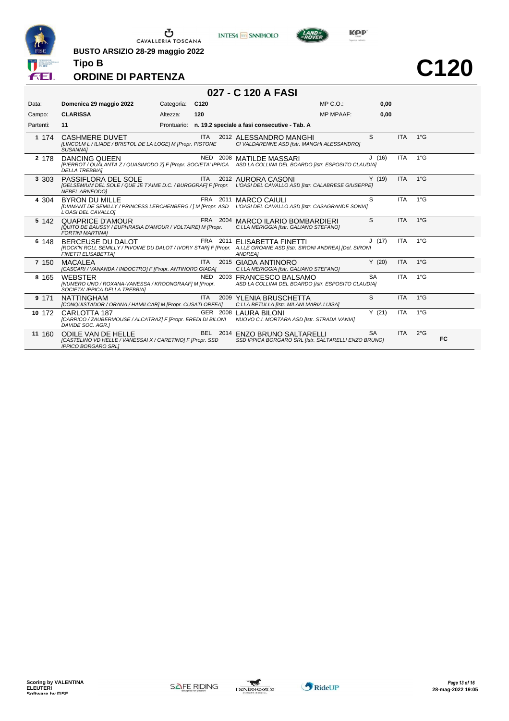

**BUSTO ARSIZIO 28-29 maggio 2022**





LAND-<br>EPOVER

**C120**

#### **ORDINE DI PARTENZA**

| 027 - C 120 A FASI |  |  |  |  |
|--------------------|--|--|--|--|
|--------------------|--|--|--|--|

| Data:     | Domenica 29 maggio 2022                                                                                                                                                 | Categoria:  | C <sub>120</sub> |                                                                                        | MP C.O.          | 0,00      |            |               |    |
|-----------|-------------------------------------------------------------------------------------------------------------------------------------------------------------------------|-------------|------------------|----------------------------------------------------------------------------------------|------------------|-----------|------------|---------------|----|
| Campo:    | <b>CLARISSA</b>                                                                                                                                                         | Altezza:    | 120              |                                                                                        | <b>MP MPAAF:</b> | 0,00      |            |               |    |
| Partenti: | 11                                                                                                                                                                      | Prontuario: |                  | n. 19.2 speciale a fasi consecutive - Tab. A                                           |                  |           |            |               |    |
| 1 174     | <b>CASHMERE DUVET</b><br>[LINCOLM L / ILIADE / BRISTOL DE LA LOGE] M [Propr. PISTONE<br>SUSANNA1                                                                        |             | <b>ITA</b>       | 2012 ALESSANDRO MANGHI<br>CI VALDARENNE ASD [Istr. MANGHI ALESSANDRO]                  |                  | S         | <b>ITA</b> | $1^{\circ}$ G |    |
| 2 178     | DANCING QUEEN<br>[PIERROT / QUALANTA Z / QUASIMODO Z] F [Propr. SOCIETA' IPPICA ASD LA COLLINA DEL BOARDO [Istr. ESPOSITO CLAUDIA]<br><b>DELLA TREBBIAI</b>             |             |                  | NED 2008 MATILDE MASSARI                                                               |                  | J(16)     | <b>ITA</b> | $1^{\circ}$ G |    |
| 3 3 0 3   | PASSIFLORA DEL SOLE<br>[GELSEMIUM DEL SOLE / QUE JE T'AIME D.C. / BURGGRAF  F [Propr. L'OASI DEL CAVALLO ASD [Istr. CALABRESE GIUSEPPE]<br><b>NEBEL ARNEODOI</b>        |             | <b>ITA</b>       | 2012 AURORA CASONI                                                                     |                  | Y(19)     | <b>ITA</b> | $1^{\circ}$ G |    |
| 4 304     | <b>BYRON DU MILLE</b><br>[DIAMANT DE SEMILLY / PRINCESS LERCHENBERG / ] M [Propr. ASD L'OASI DEL CAVALLO ASD [Istr. CASAGRANDE SONIA]<br>L'OASI DEL CAVALLO]            |             |                  | FRA 2011 MARCO CAIULI                                                                  |                  | S         | <b>ITA</b> | $1^{\circ}$ G |    |
| 5 142     | <b>QUAPRICE D'AMOUR</b><br>[QUITO DE BAUSSY / EUPHRASIA D'AMOUR / VOLTAIRE] M [Propr.<br><b>FORTINI MARTINAI</b>                                                        |             |                  | FRA 2004 MARCO ILARIO BOMBARDIERI<br>C.I.LA MERIGGIA [Istr. GALIANO STEFANO]           |                  | S         | <b>ITA</b> | $1^{\circ}$ G |    |
| 6 148     | BERCEUSE DU DALOT<br>[ROCK'N ROLL SEMILLY / PIVOINE DU DALOT / IVORY STAR] F [Propr. A.I.LE GROANE ASD [Istr. SIRONI ANDREA] [Del. SIRONI<br><b>FINETTI ELISABETTAI</b> |             |                  | FRA 2011 ELISABETTA FINETTI<br>ANDREA]                                                 |                  | J(17)     | <b>ITA</b> | $1^{\circ}$ G |    |
| 7 150     | <b>MACALEA</b><br>[CASCARI / VANANDA / INDOCTRO] F [Propr. ANTINORO GIADA]                                                                                              |             | <b>ITA</b>       | 2015 GIADA ANTINORO<br>C.I.LA MERIGGIA [Istr. GALIANO STEFANO]                         |                  | Y(20)     | <b>ITA</b> | $1^{\circ}$ G |    |
| 8 1 6 5   | <b>WEBSTER</b><br>[NUMERO UNO / ROXANA-VANESSA / KROONGRAAF] M [Propr.<br>SOCIETA' IPPICA DELLA TREBBIAI                                                                |             |                  | NED 2003 FRANCESCO BALSAMO<br>ASD LA COLLINA DEL BOARDO [Istr. ESPOSITO CLAUDIA]       |                  | <b>SA</b> | <b>ITA</b> | $1^{\circ}$ G |    |
| 9 171     | <b>NATTINGHAM</b><br>[CONQUISTADOR / ORANA / HAMILCAR] M [Propr. CUSATI ORFEA]                                                                                          |             | <b>ITA</b>       | 2009 YLENIA BRUSCHETTA<br>C.I.LA BETULLA [Istr. MILANI MARIA LUISA]                    |                  | S         | <b>ITA</b> | $1^{\circ}$ G |    |
| 10 172    | CARLOTTA 187<br>[CARRICO / ZAUBERMOUSE / ALCATRAZ] F [Propr. EREDI DI BILONI NUOVO C.I. MORTARA ASD [Istr. STRADA VANIA]<br>DAVIDE SOC. AGR.]                           |             |                  | GER 2008 LAURA BILONI                                                                  |                  | Y(21)     | <b>ITA</b> | $1^{\circ}$ G |    |
| 11 160    | <b>ODILE VAN DE HELLE</b><br>[CASTELINO VD HELLE / VANESSAI X / CARETINO] F [Propr. SSD<br><b>IPPICO BORGARO SRLI</b>                                                   |             |                  | BEL 2014 ENZO BRUNO SALTARELLI<br>SSD IPPICA BORGARO SRL [Istr. SALTARELLI ENZO BRUNO] |                  | <b>SA</b> | <b>ITA</b> | $2^{\circ}$ G | FC |

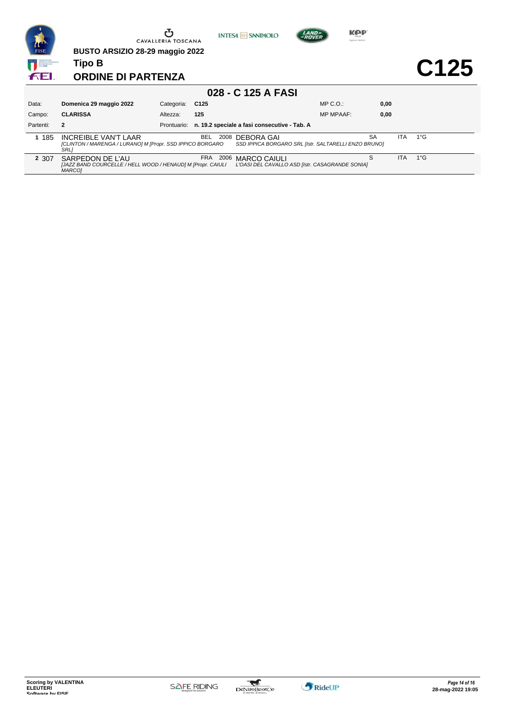| <b>CONTENT</b>                                      | BUSTO ARSIZIO 28-29 maggio 2022                                                                         | <b>CAVALLERIA TOSCANA</b> |                    | <b>INTESA M SANPAOLO</b>                     | <b>KPP</b><br><i><b>AND</b></i><br>Superior: Helmets |           |            |                  |
|-----------------------------------------------------|---------------------------------------------------------------------------------------------------------|---------------------------|--------------------|----------------------------------------------|------------------------------------------------------|-----------|------------|------------------|
| SPORTIVA NAZIONAL<br>RICONOSCIUTA<br><b>DALCONI</b> | <b>Tipo B</b>                                                                                           |                           |                    |                                              |                                                      |           |            | C <sub>125</sub> |
| ffEl                                                | <b>ORDINE DI PARTENZA</b>                                                                               |                           |                    |                                              |                                                      |           |            |                  |
|                                                     |                                                                                                         |                           |                    | 028 - C 125 A FASI                           |                                                      |           |            |                  |
| Data:                                               | Domenica 29 maggio 2022                                                                                 | Categoria:                | C <sub>125</sub>   |                                              | $MP C. O.$ :                                         | 0.00      |            |                  |
| Campo:                                              | <b>CLARISSA</b>                                                                                         | Altezza:                  | 125                |                                              | <b>MP MPAAF:</b>                                     | 0,00      |            |                  |
| Partenti:                                           | $\overline{2}$                                                                                          | Prontuario:               |                    | n. 19.2 speciale a fasi consecutive - Tab. A |                                                      |           |            |                  |
| 1 185                                               | <b>INCREIBLE VAN'T LAAR</b><br>[CLINTON / MARENGA / LURANO] M [Propr. SSD IPPICO BORGARO<br><b>SRLI</b> |                           | <b>BEL</b><br>2008 | DEBORA GAI                                   | SSD IPPICA BORGARO SRL [Istr. SALTARELLI ENZO BRUNO] | <b>SA</b> | <b>ITA</b> | $1^{\circ}$ G    |
| 2 3 0 7                                             | SARPEDON DE L'AU<br>[JAZZ BAND COURCELLE / HELL WOOD / HENAUD] M [Propr. CAIULI<br><b>MARCOI</b>        |                           | FRA 2006           | <b>MARCO CAIULI</b>                          | L'OASI DEL CAVALLO ASD [Istr. CASAGRANDE SONIA]      | S         | <b>ITA</b> | $1^{\circ}$ G    |

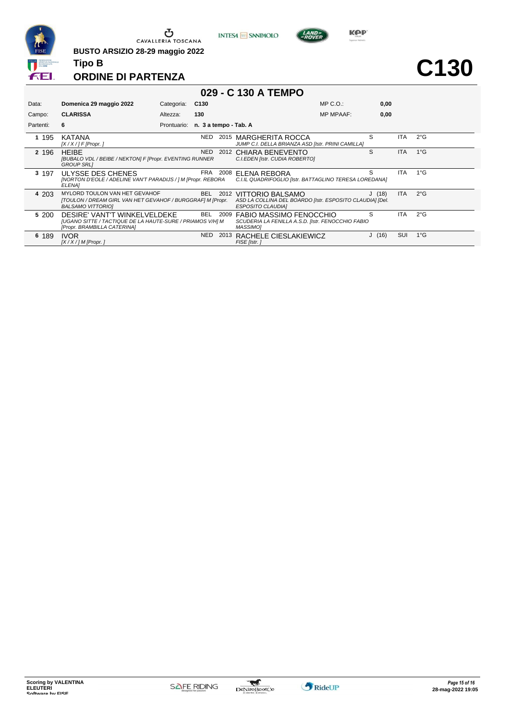

**BUSTO ARSIZIO 28-29 maggio 2022**





**C130**

## **ORDINE DI PARTENZA**

| 029 - C 130 A TEMPO |                                                                                                                          |             |                       |      |                                                                                                               |                  |       |            |               |  |  |
|---------------------|--------------------------------------------------------------------------------------------------------------------------|-------------|-----------------------|------|---------------------------------------------------------------------------------------------------------------|------------------|-------|------------|---------------|--|--|
| Data:               | Domenica 29 maggio 2022                                                                                                  | Categoria:  | C <sub>130</sub>      |      |                                                                                                               | $MP C. O.$ :     | 0,00  |            |               |  |  |
| Campo:              | <b>CLARISSA</b>                                                                                                          | Altezza:    | 130                   |      |                                                                                                               | <b>MP MPAAF:</b> | 0,00  |            |               |  |  |
| Partenti:           | 6                                                                                                                        | Prontuario: | n. 3 a tempo - Tab. A |      |                                                                                                               |                  |       |            |               |  |  |
| 1 195               | KATANA<br>$[X/X/]$ F [Propr.]                                                                                            |             | NED                   |      | 2015 MARGHERITA ROCCA<br>JUMP C.I. DELLA BRIANZA ASD [Istr. PRINI CAMILLA]                                    |                  | S     | ITA        | $2^{\circ}$ G |  |  |
| 2 196               | <b>HEIBE</b><br>[BUBALO VDL / BEIBE / NEKTON] F [Propr. EVENTING RUNNER<br><b>GROUP SRLI</b>                             |             | NED                   |      | 2012 CHIARA BENEVENTO<br>C.I.EDEN [Istr. CUDIA ROBERTO]                                                       |                  | S     | <b>ITA</b> | $1^{\circ}$ G |  |  |
| 3 197               | ULYSSE DES CHENES<br>[NORTON D'EOLE / ADELINE VAN'T PARADIJS / ] M [Propr. REBORA<br><b>ELENA1</b>                       |             |                       |      | FRA 2008 ELENA REBORA<br>C.I.IL QUADRIFOGLIO [Istr. BATTAGLINO TERESA LOREDANA]                               |                  | S     | ITA.       | $1^{\circ}$ G |  |  |
| 4 203               | MYLORD TOULON VAN HET GEVAHOF<br>[TOULON / DREAM GIRL VAN HET GEVAHOF / BURGGRAF] M [Propr.<br><b>BALSAMO VITTORIOI</b>  |             | <b>BEL</b>            |      | 2012 VITTORIO BALSAMO<br>ASD LA COLLINA DEL BOARDO [Istr. ESPOSITO CLAUDIA] [Del.<br><b>ESPOSITO CLAUDIAI</b> |                  | J(18) | ITA.       | $2^{\circ}$ G |  |  |
| 5 200               | DESIRE' VANT'T WINKELVELDEKE<br>[UGANO SITTE / TACTIQUE DE LA HAUTE-SURE / PRIAMOS V/H] M<br>[Propr. BRAMBILLA CATERINA] |             | <b>BEL</b>            | 2009 | FABIO MASSIMO FENOCCHIO<br>SCUDERIA LA FENILLA A.S.D. [Istr. FENOCCHIO FABIO<br><b>MASSIMO1</b>               |                  | S     | <b>ITA</b> | $2^{\circ}$ G |  |  |
| 6 189               | <b>IVOR</b><br>$[X/X]/M$ [Propr. ]                                                                                       |             | NED.                  | 2013 | RACHELE CIESLAKIEWICZ<br>FISE [Istr.]                                                                         |                  | J(16) | SUI        | $1^{\circ}$ G |  |  |